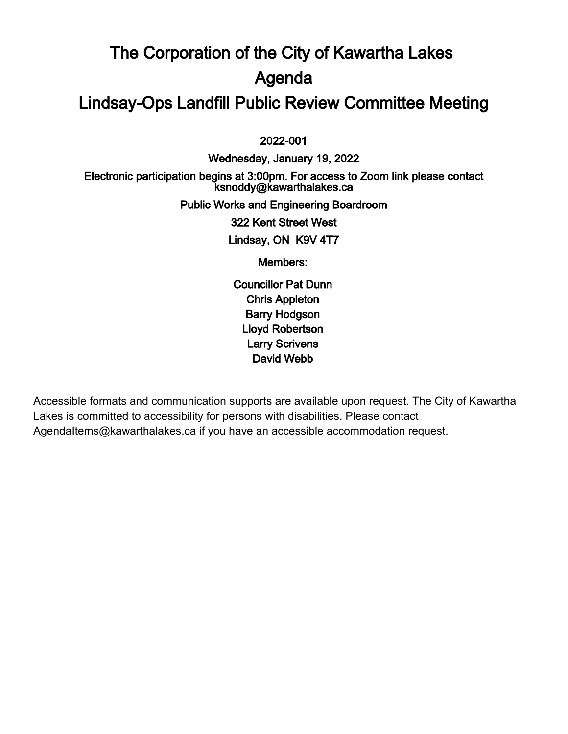# The Corporation of the City of Kawartha Lakes Agenda Lindsay-Ops Landfill Public Review Committee Meeting

 $\overline{a}$ 2022-001

Wednesday, January 19, 2022 Electronic participation begins at 3:00pm. For access to Zoom link please contact ksnoddy@kawarthalakes.ca Public Works and Engineering Boardroom 322 Kent Street West Lindsay, ON K9V 4T7 Members: Councillor Pat Dunn

Chris Appleton Barry Hodgson Lloyd Robertson Larry Scrivens David Webb

Accessible formats and communication supports are available upon request. The City of Kawartha Lakes is committed to accessibility for persons with disabilities. Please contact AgendaItems@kawarthalakes.ca if you have an accessible accommodation request.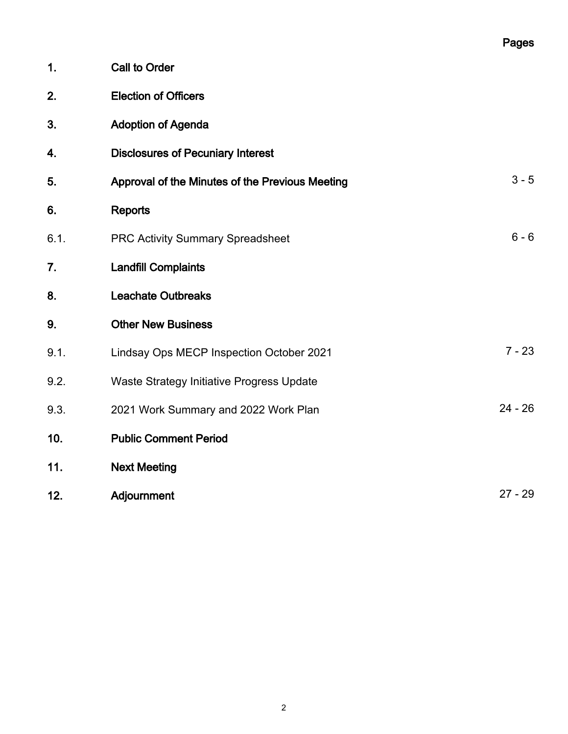|      |                                                 | Pages     |
|------|-------------------------------------------------|-----------|
| 1.   | <b>Call to Order</b>                            |           |
| 2.   | <b>Election of Officers</b>                     |           |
| 3.   | <b>Adoption of Agenda</b>                       |           |
| 4.   | <b>Disclosures of Pecuniary Interest</b>        |           |
| 5.   | Approval of the Minutes of the Previous Meeting | $3 - 5$   |
| 6.   | <b>Reports</b>                                  |           |
| 6.1. | <b>PRC Activity Summary Spreadsheet</b>         | $6 - 6$   |
| 7.   | <b>Landfill Complaints</b>                      |           |
| 8.   | <b>Leachate Outbreaks</b>                       |           |
| 9.   | <b>Other New Business</b>                       |           |
| 9.1. | Lindsay Ops MECP Inspection October 2021        | $7 - 23$  |
| 9.2. | Waste Strategy Initiative Progress Update       |           |
| 9.3. | 2021 Work Summary and 2022 Work Plan            | $24 - 26$ |
| 10.  | <b>Public Comment Period</b>                    |           |
| 11.  | <b>Next Meeting</b>                             |           |
| 12.  | Adjournment                                     | $27 - 29$ |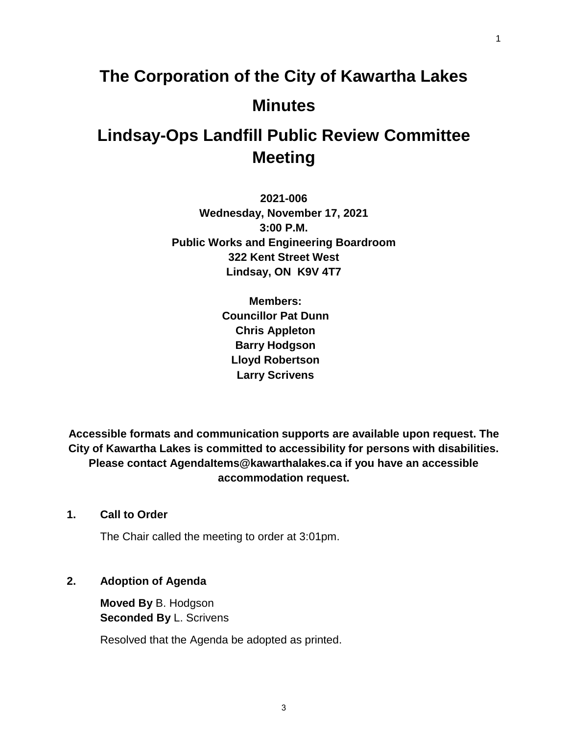# **The Corporation of the City of Kawartha Lakes Minutes**

# **Lindsay-Ops Landfill Public Review Committee Meeting**

**2021-006 Wednesday, November 17, 2021 3:00 P.M. Public Works and Engineering Boardroom 322 Kent Street West Lindsay, ON K9V 4T7**

> **Members: Councillor Pat Dunn Chris Appleton Barry Hodgson Lloyd Robertson Larry Scrivens**

**Accessible formats and communication supports are available upon request. The City of Kawartha Lakes is committed to accessibility for persons with disabilities. Please contact AgendaItems@kawarthalakes.ca if you have an accessible accommodation request.** 

# **1. Call to Order**

The Chair called the meeting to order at 3:01pm.

# **2. Adoption of Agenda**

**Moved By** B. Hodgson **Seconded By** L. Scrivens

Resolved that the Agenda be adopted as printed.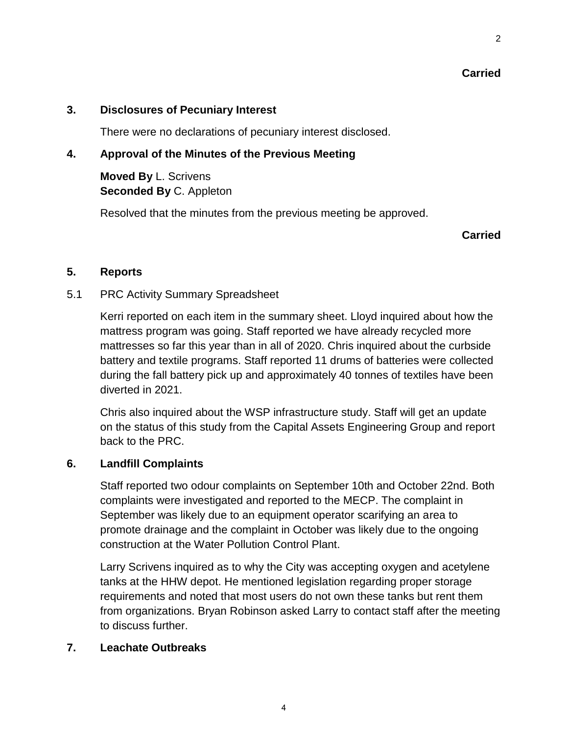# **Carried**

2

# **3. Disclosures of Pecuniary Interest**

There were no declarations of pecuniary interest disclosed.

# **4. Approval of the Minutes of the Previous Meeting**

**Moved By** L. Scrivens **Seconded By** C. Appleton

Resolved that the minutes from the previous meeting be approved.

# **Carried**

# **5. Reports**

# 5.1 PRC Activity Summary Spreadsheet

Kerri reported on each item in the summary sheet. Lloyd inquired about how the mattress program was going. Staff reported we have already recycled more mattresses so far this year than in all of 2020. Chris inquired about the curbside battery and textile programs. Staff reported 11 drums of batteries were collected during the fall battery pick up and approximately 40 tonnes of textiles have been diverted in 2021.

Chris also inquired about the WSP infrastructure study. Staff will get an update on the status of this study from the Capital Assets Engineering Group and report back to the PRC.

# **6. Landfill Complaints**

Staff reported two odour complaints on September 10th and October 22nd. Both complaints were investigated and reported to the MECP. The complaint in September was likely due to an equipment operator scarifying an area to promote drainage and the complaint in October was likely due to the ongoing construction at the Water Pollution Control Plant.

Larry Scrivens inquired as to why the City was accepting oxygen and acetylene tanks at the HHW depot. He mentioned legislation regarding proper storage requirements and noted that most users do not own these tanks but rent them from organizations. Bryan Robinson asked Larry to contact staff after the meeting to discuss further.

# **7. Leachate Outbreaks**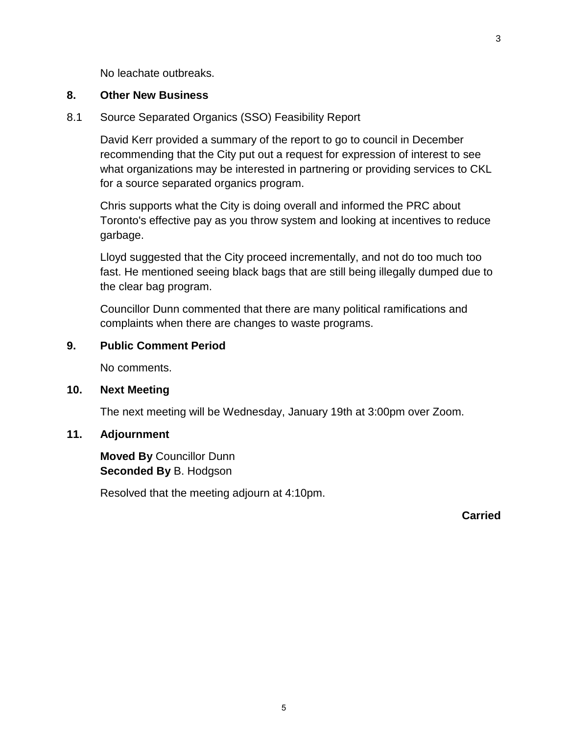No leachate outbreaks.

#### **8. Other New Business**

#### 8.1 Source Separated Organics (SSO) Feasibility Report

David Kerr provided a summary of the report to go to council in December recommending that the City put out a request for expression of interest to see what organizations may be interested in partnering or providing services to CKL for a source separated organics program.

Chris supports what the City is doing overall and informed the PRC about Toronto's effective pay as you throw system and looking at incentives to reduce garbage.

Lloyd suggested that the City proceed incrementally, and not do too much too fast. He mentioned seeing black bags that are still being illegally dumped due to the clear bag program.

Councillor Dunn commented that there are many political ramifications and complaints when there are changes to waste programs.

#### **9. Public Comment Period**

No comments.

#### **10. Next Meeting**

The next meeting will be Wednesday, January 19th at 3:00pm over Zoom.

#### **11. Adjournment**

**Moved By** Councillor Dunn **Seconded By** B. Hodgson

Resolved that the meeting adjourn at 4:10pm.

**Carried**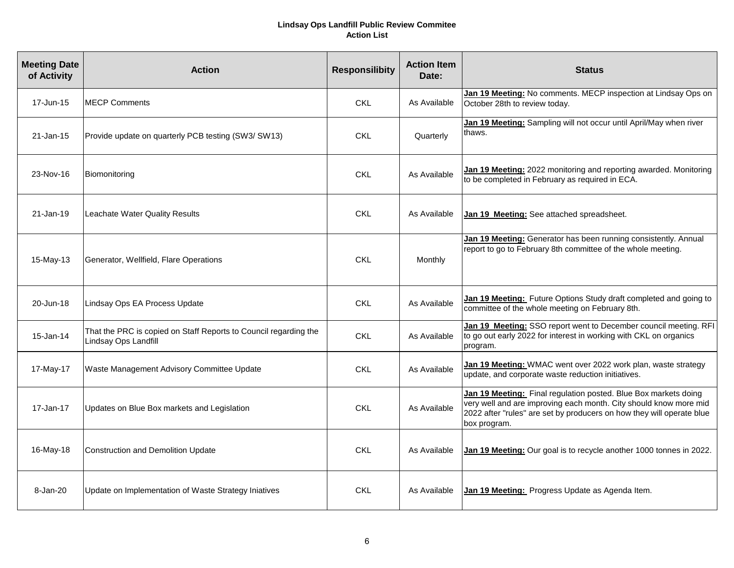#### **Lindsay Ops Landfill Public Review Commitee Action List**

| <b>Meeting Date</b><br>of Activity | <b>Action</b>                                                                            | <b>Responsilibity</b> | <b>Action Item</b><br>Date: | <b>Status</b>                                                                                                                                                                                                                 |
|------------------------------------|------------------------------------------------------------------------------------------|-----------------------|-----------------------------|-------------------------------------------------------------------------------------------------------------------------------------------------------------------------------------------------------------------------------|
| 17-Jun-15                          | <b>MECP Comments</b>                                                                     | <b>CKL</b>            | As Available                | Jan 19 Meeting: No comments. MECP inspection at Lindsay Ops on<br>October 28th to review today.                                                                                                                               |
| 21-Jan-15                          | Provide update on quarterly PCB testing (SW3/ SW13)                                      | <b>CKL</b>            | Quarterly                   | Jan 19 Meeting: Sampling will not occur until April/May when river<br>thaws.                                                                                                                                                  |
| 23-Nov-16                          | Biomonitoring                                                                            | <b>CKL</b>            | As Available                | Jan 19 Meeting: 2022 monitoring and reporting awarded. Monitoring<br>to be completed in February as required in ECA.                                                                                                          |
| 21-Jan-19                          | Leachate Water Quality Results                                                           | <b>CKL</b>            | As Available                | Jan 19 Meeting: See attached spreadsheet.                                                                                                                                                                                     |
| 15-May-13                          | Generator, Wellfield, Flare Operations                                                   | <b>CKL</b>            | Monthly                     | Jan 19 Meeting: Generator has been running consistently. Annual<br>report to go to February 8th committee of the whole meeting.                                                                                               |
| 20-Jun-18                          | Lindsay Ops EA Process Update                                                            | <b>CKL</b>            | As Available                | Jan 19 Meeting: Future Options Study draft completed and going to<br>committee of the whole meeting on February 8th.                                                                                                          |
| 15-Jan-14                          | That the PRC is copied on Staff Reports to Council regarding the<br>Lindsay Ops Landfill | <b>CKL</b>            | As Available                | Jan 19 Meeting: SSO report went to December council meeting. RFI<br>to go out early 2022 for interest in working with CKL on organics<br>program.                                                                             |
| 17-May-17                          | Waste Management Advisory Committee Update                                               | <b>CKL</b>            | As Available                | Jan 19 Meeting: WMAC went over 2022 work plan, waste strategy<br>update, and corporate waste reduction initiatives.                                                                                                           |
| 17-Jan-17                          | Updates on Blue Box markets and Legislation                                              | <b>CKL</b>            | As Available                | Jan 19 Meeting: Final regulation posted. Blue Box markets doing<br>very well and are improving each month. City should know more mid<br>2022 after "rules" are set by producers on how they will operate blue<br>box program. |
| 16-May-18                          | <b>Construction and Demolition Update</b>                                                | <b>CKL</b>            | As Available                | Jan 19 Meeting: Our goal is to recycle another 1000 tonnes in 2022.                                                                                                                                                           |
| 8-Jan-20                           | Update on Implementation of Waste Strategy Iniatives                                     | <b>CKL</b>            | As Available                | Jan 19 Meeting: Progress Update as Agenda Item.                                                                                                                                                                               |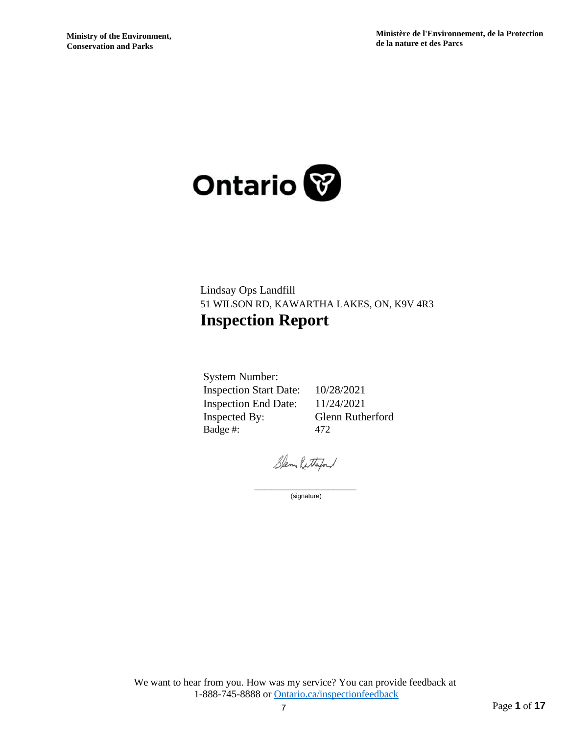

# Lindsay Ops Landfill 51 WILSON RD, KAWARTHA LAKES, ON, K9V 4R3 **Inspection Report**

System Number: Inspection Start Date: 10/28/2021 Inspection End Date: 11/24/2021 Inspected By: Glenn Rutherford Badge #: 472

Slenn Ratherford

\_\_\_\_\_\_\_\_\_\_\_\_\_\_\_\_\_\_ (signature)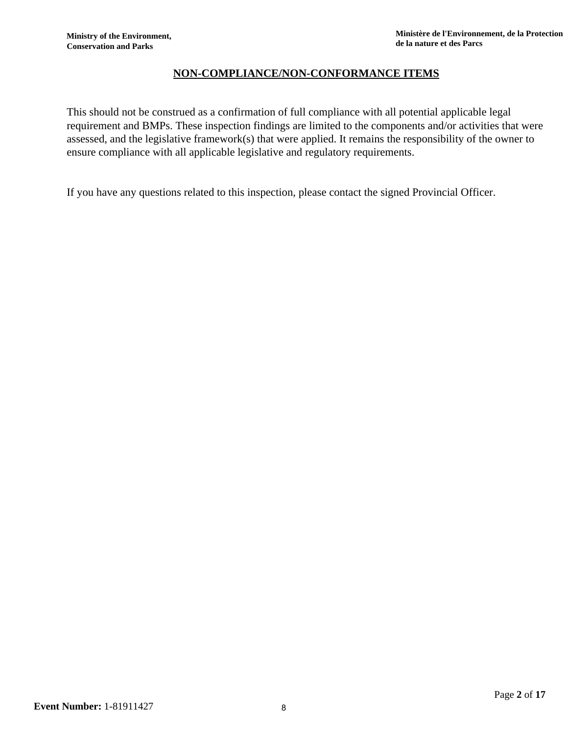# **NON-COMPLIANCE/NON-CONFORMANCE ITEMS**

This should not be construed as a confirmation of full compliance with all potential applicable legal requirement and BMPs. These inspection findings are limited to the components and/or activities that were assessed, and the legislative framework(s) that were applied. It remains the responsibility of the owner to ensure compliance with all applicable legislative and regulatory requirements.

If you have any questions related to this inspection, please contact the signed Provincial Officer.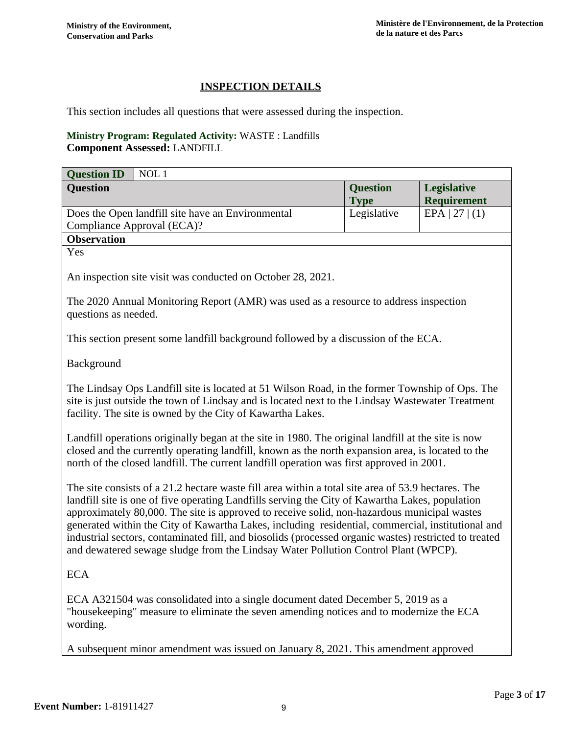# **INSPECTION DETAILS**

This section includes all questions that were assessed during the inspection.

#### **Ministry Program: Regulated Activity:** WASTE : Landfills **Component Assessed:** LANDFILL

| <b>Question ID</b><br>NOL 1                                                                                                                                                                                                                                                                                                                                                                                                                                                                                                                                                                              |                                |                                          |  |
|----------------------------------------------------------------------------------------------------------------------------------------------------------------------------------------------------------------------------------------------------------------------------------------------------------------------------------------------------------------------------------------------------------------------------------------------------------------------------------------------------------------------------------------------------------------------------------------------------------|--------------------------------|------------------------------------------|--|
| <b>Question</b>                                                                                                                                                                                                                                                                                                                                                                                                                                                                                                                                                                                          | <b>Question</b><br><b>Type</b> | <b>Legislative</b><br><b>Requirement</b> |  |
| Does the Open landfill site have an Environmental<br>Compliance Approval (ECA)?                                                                                                                                                                                                                                                                                                                                                                                                                                                                                                                          | Legislative                    | EPA   27   (1)                           |  |
| <b>Observation</b>                                                                                                                                                                                                                                                                                                                                                                                                                                                                                                                                                                                       |                                |                                          |  |
| Yes                                                                                                                                                                                                                                                                                                                                                                                                                                                                                                                                                                                                      |                                |                                          |  |
| An inspection site visit was conducted on October 28, 2021.                                                                                                                                                                                                                                                                                                                                                                                                                                                                                                                                              |                                |                                          |  |
| The 2020 Annual Monitoring Report (AMR) was used as a resource to address inspection<br>questions as needed.                                                                                                                                                                                                                                                                                                                                                                                                                                                                                             |                                |                                          |  |
| This section present some landfill background followed by a discussion of the ECA.                                                                                                                                                                                                                                                                                                                                                                                                                                                                                                                       |                                |                                          |  |
| Background                                                                                                                                                                                                                                                                                                                                                                                                                                                                                                                                                                                               |                                |                                          |  |
| The Lindsay Ops Landfill site is located at 51 Wilson Road, in the former Township of Ops. The<br>site is just outside the town of Lindsay and is located next to the Lindsay Wastewater Treatment<br>facility. The site is owned by the City of Kawartha Lakes.                                                                                                                                                                                                                                                                                                                                         |                                |                                          |  |
| Landfill operations originally began at the site in 1980. The original landfill at the site is now<br>closed and the currently operating landfill, known as the north expansion area, is located to the<br>north of the closed landfill. The current landfill operation was first approved in 2001.                                                                                                                                                                                                                                                                                                      |                                |                                          |  |
| The site consists of a 21.2 hectare waste fill area within a total site area of 53.9 hectares. The<br>landfill site is one of five operating Landfills serving the City of Kawartha Lakes, population<br>approximately 80,000. The site is approved to receive solid, non-hazardous municipal wastes<br>generated within the City of Kawartha Lakes, including residential, commercial, institutional and<br>industrial sectors, contaminated fill, and biosolids (processed organic wastes) restricted to treated<br>and dewatered sewage sludge from the Lindsay Water Pollution Control Plant (WPCP). |                                |                                          |  |
| <b>ECA</b>                                                                                                                                                                                                                                                                                                                                                                                                                                                                                                                                                                                               |                                |                                          |  |
| ECA A321504 was consolidated into a single document dated December 5, 2019 as a<br>"housekeeping" measure to eliminate the seven amending notices and to modernize the ECA                                                                                                                                                                                                                                                                                                                                                                                                                               |                                |                                          |  |

A subsequent minor amendment was issued on January 8, 2021. This amendment approved

wording.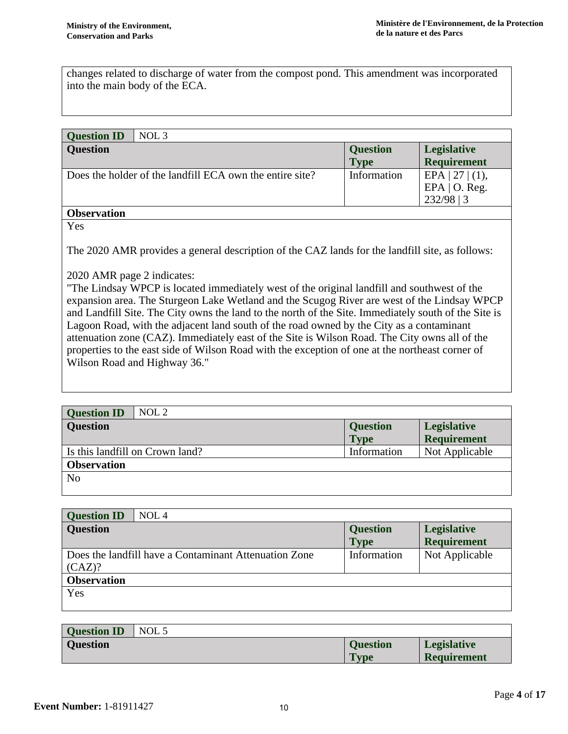changes related to discharge of water from the compost pond. This amendment was incorporated into the main body of the ECA.

| <b>Question ID</b><br>NOL 3                              |                 |                                                        |
|----------------------------------------------------------|-----------------|--------------------------------------------------------|
| <b>Question</b>                                          | <b>Question</b> | Legislative                                            |
|                                                          | <b>Type</b>     | <b>Requirement</b>                                     |
| Does the holder of the landfill ECA own the entire site? | Information     | EPA $ 27 $ (1),<br>EPA $\vert$ O. Reg.<br>$232/98$   3 |
| <b>Observation</b>                                       |                 |                                                        |

Yes

The 2020 AMR provides a general description of the CAZ lands for the landfill site, as follows:

2020 AMR page 2 indicates:

"The Lindsay WPCP is located immediately west of the original landfill and southwest of the expansion area. The Sturgeon Lake Wetland and the Scugog River are west of the Lindsay WPCP and Landfill Site. The City owns the land to the north of the Site. Immediately south of the Site is Lagoon Road, with the adjacent land south of the road owned by the City as a contaminant attenuation zone (CAZ). Immediately east of the Site is Wilson Road. The City owns all of the properties to the east side of Wilson Road with the exception of one at the northeast corner of Wilson Road and Highway 36."

| <b>Question ID</b><br>NOL 2     |                 |                    |
|---------------------------------|-----------------|--------------------|
| <b>Question</b>                 | <b>Question</b> | <b>Legislative</b> |
|                                 | <b>Type</b>     | <b>Requirement</b> |
| Is this landfill on Crown land? | Information     | Not Applicable     |
| <b>Observation</b>              |                 |                    |
| N <sub>o</sub>                  |                 |                    |
|                                 |                 |                    |

| <b>Question ID</b><br>NOL <sub>4</sub>                          |                                |                                          |
|-----------------------------------------------------------------|--------------------------------|------------------------------------------|
| <b>Question</b>                                                 | <b>Question</b><br><b>Type</b> | <b>Legislative</b><br><b>Requirement</b> |
| Does the landfill have a Contaminant Attenuation Zone<br>(CAZ)? | Information                    | Not Applicable                           |
| <b>Observation</b>                                              |                                |                                          |
| Yes                                                             |                                |                                          |

| <b>Question ID</b> | NOL 5 |                 |                    |
|--------------------|-------|-----------------|--------------------|
| <b>Question</b>    |       | <b>Question</b> | <b>Legislative</b> |
|                    |       | <b>Type</b>     | <b>Requirement</b> |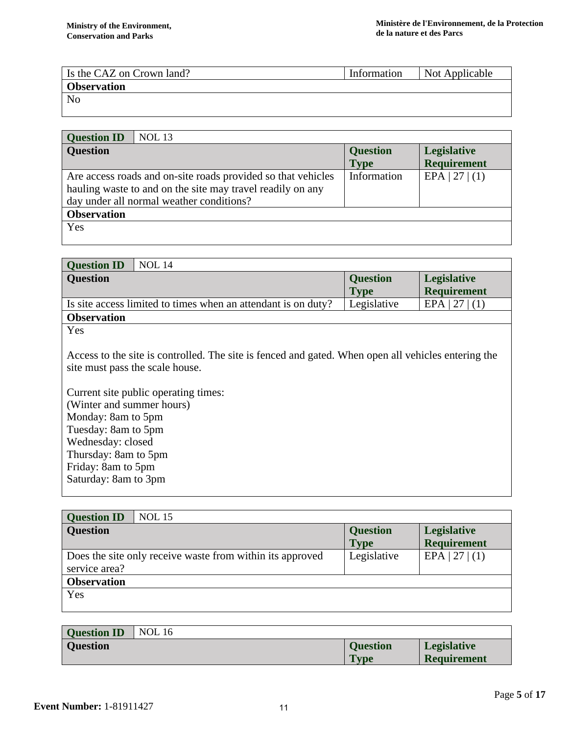| Is the CAZ on Crown land? | Information | Not Applicable |
|---------------------------|-------------|----------------|
| <b>Observation</b>        |             |                |
| N <sub>0</sub>            |             |                |

| <b>Question ID</b> | <b>NOL 13</b>                                                |                 |                    |
|--------------------|--------------------------------------------------------------|-----------------|--------------------|
| <b>Question</b>    |                                                              | <b>Question</b> | <b>Legislative</b> |
|                    |                                                              | <b>Type</b>     | <b>Requirement</b> |
|                    | Are access roads and on-site roads provided so that vehicles | Information     | EPA   27   (1)     |
|                    | hauling waste to and on the site may travel readily on any   |                 |                    |
|                    | day under all normal weather conditions?                     |                 |                    |
| <b>Observation</b> |                                                              |                 |                    |
| Yes                |                                                              |                 |                    |
|                    |                                                              |                 |                    |

| <b>NOL</b> 14<br><b>Question ID</b>                           |                 |                    |  |
|---------------------------------------------------------------|-----------------|--------------------|--|
| <b>Question</b>                                               | <b>Question</b> | Legislative        |  |
|                                                               | <b>Type</b>     | <b>Requirement</b> |  |
| Is site access limited to times when an attendant is on duty? | Legislative     | EPA                |  |
| <b>Observation</b>                                            |                 |                    |  |
|                                                               |                 |                    |  |

Access to the site is controlled. The site is fenced and gated. When open all vehicles entering the site must pass the scale house.

Current site public operating times: (Winter and summer hours) Monday: 8am to 5pm Tuesday: 8am to 5pm Wednesday: closed Thursday: 8am to 5pm Friday: 8am to 5pm Saturday: 8am to 3pm

| <b>Question ID</b><br><b>NOL 15</b>                                        |                                |                                          |
|----------------------------------------------------------------------------|--------------------------------|------------------------------------------|
| <b>Question</b>                                                            | <b>Question</b><br><b>Type</b> | <b>Legislative</b><br><b>Requirement</b> |
| Does the site only receive waste from within its approved<br>service area? | Legislative                    | EPA   27   (1)                           |
| <b>Observation</b>                                                         |                                |                                          |
| Yes                                                                        |                                |                                          |

| <b>Question ID</b> | <b>NOL</b> 16 |                 |                    |
|--------------------|---------------|-----------------|--------------------|
| <b>Question</b>    |               | <b>Question</b> | <b>Legislative</b> |
|                    |               | <b>Type</b>     | <b>Requirement</b> |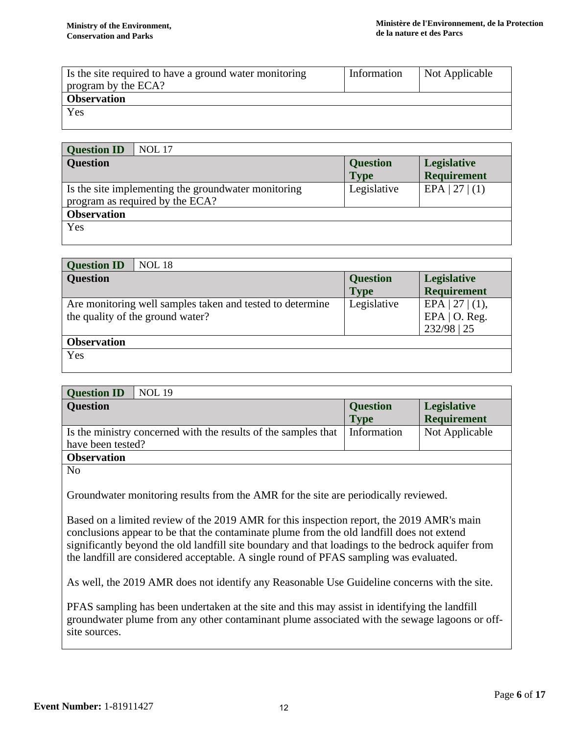| Is the site required to have a ground water monitoring<br>program by the ECA? | Information | Not Applicable |
|-------------------------------------------------------------------------------|-------------|----------------|
| <b>Observation</b>                                                            |             |                |
| Yes                                                                           |             |                |
|                                                                               |             |                |

| <b>NOL</b> 17<br><b>Question ID</b>                                                    |                 |                    |
|----------------------------------------------------------------------------------------|-----------------|--------------------|
| <b>Question</b>                                                                        | <b>Question</b> | Legislative        |
|                                                                                        | <b>Type</b>     | <b>Requirement</b> |
| Is the site implementing the groundwater monitoring<br>program as required by the ECA? | Legislative     | EPA   27   (1)     |
| <b>Observation</b>                                                                     |                 |                    |
| Yes                                                                                    |                 |                    |

| <b>Question ID</b> | <b>NOL 18</b>                                                                                 |                 |                                                          |
|--------------------|-----------------------------------------------------------------------------------------------|-----------------|----------------------------------------------------------|
| <b>Question</b>    |                                                                                               | <b>Question</b> | <b>Legislative</b>                                       |
|                    |                                                                                               | <b>Type</b>     | <b>Requirement</b>                                       |
|                    | Are monitoring well samples taken and tested to determine<br>the quality of the ground water? | Legislative     | EPA   27   $(1)$ ,<br>EPA $\vert$ O. Reg.<br>232/98   25 |
| <b>Observation</b> |                                                                                               |                 |                                                          |
| Yes                |                                                                                               |                 |                                                          |

| <b>Question ID</b><br><b>NOL 19</b>                                                 |                                |                                   |
|-------------------------------------------------------------------------------------|--------------------------------|-----------------------------------|
| <b>Question</b>                                                                     | <b>Question</b><br><b>Type</b> | Legislative<br><b>Requirement</b> |
| Is the ministry concerned with the results of the samples that<br>have been tested? | Information                    | Not Applicable                    |
| <b>Observation</b>                                                                  |                                |                                   |
| NT <sub>-</sub>                                                                     |                                |                                   |

No

Groundwater monitoring results from the AMR for the site are periodically reviewed.

Based on a limited review of the 2019 AMR for this inspection report, the 2019 AMR's main conclusions appear to be that the contaminate plume from the old landfill does not extend significantly beyond the old landfill site boundary and that loadings to the bedrock aquifer from the landfill are considered acceptable. A single round of PFAS sampling was evaluated.

As well, the 2019 AMR does not identify any Reasonable Use Guideline concerns with the site.

PFAS sampling has been undertaken at the site and this may assist in identifying the landfill groundwater plume from any other contaminant plume associated with the sewage lagoons or offsite sources.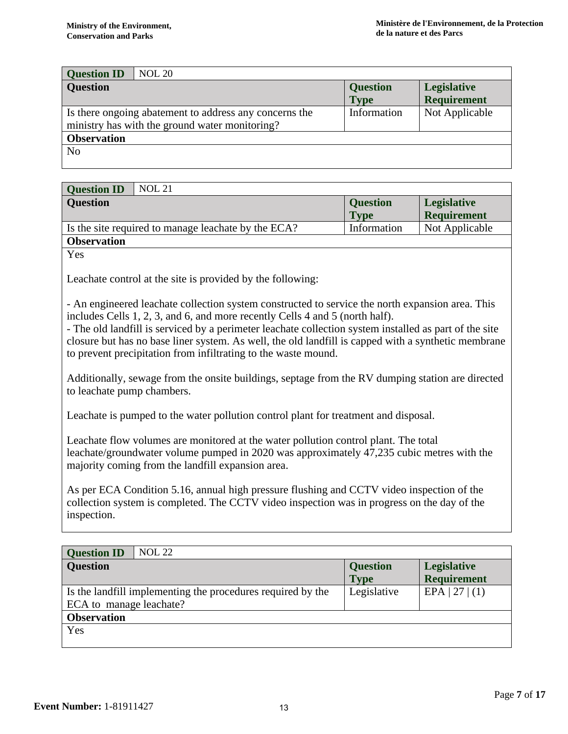| <b>NOL 20</b><br><b>Question ID</b>                                                                      |                 |                    |  |
|----------------------------------------------------------------------------------------------------------|-----------------|--------------------|--|
| <b>Question</b>                                                                                          | <b>Question</b> | Legislative        |  |
|                                                                                                          | <b>Type</b>     | <b>Requirement</b> |  |
| Is there ongoing abatement to address any concerns the<br>ministry has with the ground water monitoring? | Information     | Not Applicable     |  |
| <b>Observation</b>                                                                                       |                 |                    |  |
| N <sub>0</sub>                                                                                           |                 |                    |  |

| <b>NOL 21</b><br><b>Question ID</b>                 |                 |                    |
|-----------------------------------------------------|-----------------|--------------------|
| <b>Ouestion</b>                                     | <b>Question</b> | <b>Legislative</b> |
|                                                     | <b>Type</b>     | <b>Requirement</b> |
| Is the site required to manage leachate by the ECA? | Information     | Not Applicable     |
| <b>Observation</b>                                  |                 |                    |

Leachate control at the site is provided by the following:

- An engineered leachate collection system constructed to service the north expansion area. This includes Cells 1, 2, 3, and 6, and more recently Cells 4 and 5 (north half).

- The old landfill is serviced by a perimeter leachate collection system installed as part of the site closure but has no base liner system. As well, the old landfill is capped with a synthetic membrane to prevent precipitation from infiltrating to the waste mound.

Additionally, sewage from the onsite buildings, septage from the RV dumping station are directed to leachate pump chambers.

Leachate is pumped to the water pollution control plant for treatment and disposal.

Leachate flow volumes are monitored at the water pollution control plant. The total leachate/groundwater volume pumped in 2020 was approximately 47,235 cubic metres with the majority coming from the landfill expansion area.

As per ECA Condition 5.16, annual high pressure flushing and CCTV video inspection of the collection system is completed. The CCTV video inspection was in progress on the day of the inspection.

| <b>NOL 22</b><br><b>Question ID</b>                         |                 |                    |  |
|-------------------------------------------------------------|-----------------|--------------------|--|
| <b>Question</b>                                             | <b>Question</b> | <b>Legislative</b> |  |
|                                                             | <b>Type</b>     | <b>Requirement</b> |  |
| Is the landfill implementing the procedures required by the | Legislative     | EPA   27   (1)     |  |
| ECA to manage leachate?                                     |                 |                    |  |
| <b>Observation</b>                                          |                 |                    |  |
| Yes                                                         |                 |                    |  |
|                                                             |                 |                    |  |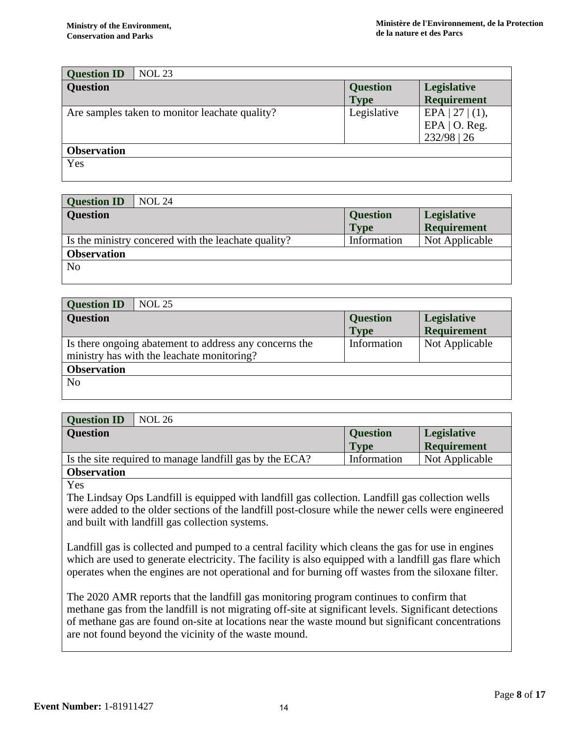| <b>Question ID</b> | <b>NOL 23</b>                                  |                 |                                                            |
|--------------------|------------------------------------------------|-----------------|------------------------------------------------------------|
| <b>Question</b>    |                                                | <b>Question</b> | Legislative                                                |
|                    |                                                | <b>Type</b>     | <b>Requirement</b>                                         |
|                    | Are samples taken to monitor leachate quality? | Legislative     | EPA   27   $(1)$ ,<br>EPA $\vert$ O. Reg.<br>$232/98$   26 |
| <b>Observation</b> |                                                |                 |                                                            |
| Yes                |                                                |                 |                                                            |

| <b>NOL 24</b><br><b>Question ID</b>                  |                 |                    |
|------------------------------------------------------|-----------------|--------------------|
| <b>Question</b>                                      | <b>Question</b> | <b>Legislative</b> |
|                                                      | <b>Type</b>     | Requirement        |
| Is the ministry concerred with the leachate quality? | Information     | Not Applicable     |
| <b>Observation</b>                                   |                 |                    |
| N <sub>o</sub>                                       |                 |                    |
|                                                      |                 |                    |

| <b>Question ID</b> | <b>NOL 25</b>                                                                                        |                 |                    |
|--------------------|------------------------------------------------------------------------------------------------------|-----------------|--------------------|
| <b>Question</b>    |                                                                                                      | <b>Question</b> | <b>Legislative</b> |
|                    |                                                                                                      | <b>Type</b>     | <b>Requirement</b> |
|                    | Is there ongoing abatement to address any concerns the<br>ministry has with the leachate monitoring? | Information     | Not Applicable     |
| <b>Observation</b> |                                                                                                      |                 |                    |
| N <sub>0</sub>     |                                                                                                      |                 |                    |

| <b>Question ID</b> | <b>NOL 26</b>                                           |                 |                    |
|--------------------|---------------------------------------------------------|-----------------|--------------------|
| <b>Question</b>    |                                                         | <b>Question</b> | <b>Legislative</b> |
|                    |                                                         | <b>Type</b>     | <b>Requirement</b> |
|                    | Is the site required to manage landfill gas by the ECA? | Information     | Not Applicable     |
| <b>Observation</b> |                                                         |                 |                    |

The Lindsay Ops Landfill is equipped with landfill gas collection. Landfill gas collection wells were added to the older sections of the landfill post-closure while the newer cells were engineered and built with landfill gas collection systems.

Landfill gas is collected and pumped to a central facility which cleans the gas for use in engines which are used to generate electricity. The facility is also equipped with a landfill gas flare which operates when the engines are not operational and for burning off wastes from the siloxane filter.

The 2020 AMR reports that the landfill gas monitoring program continues to confirm that methane gas from the landfill is not migrating off-site at significant levels. Significant detections of methane gas are found on-site at locations near the waste mound but significant concentrations are not found beyond the vicinity of the waste mound.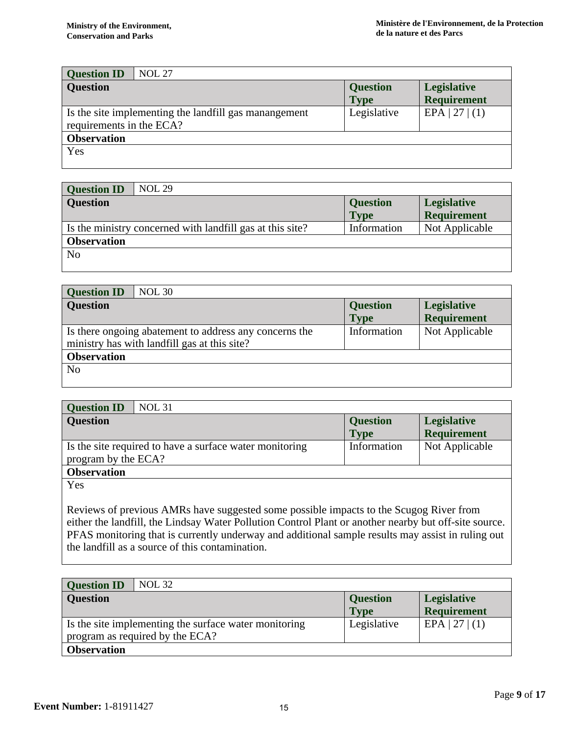| <b>Question ID</b>       | <b>NOL 27</b>                                         |                                |                                          |
|--------------------------|-------------------------------------------------------|--------------------------------|------------------------------------------|
| <b>Question</b>          |                                                       | <b>Question</b><br><b>Type</b> | <b>Legislative</b><br><b>Requirement</b> |
| requirements in the ECA? | Is the site implementing the landfill gas manangement | Legislative                    | EPA   27   (1)                           |
| <b>Observation</b>       |                                                       |                                |                                          |
| Yes                      |                                                       |                                |                                          |

| <b>NOL 29</b><br><b>Question ID</b>                       |                 |                    |
|-----------------------------------------------------------|-----------------|--------------------|
| <b>Question</b>                                           | <b>Question</b> | <b>Legislative</b> |
|                                                           | <b>Type</b>     | <b>Requirement</b> |
| Is the ministry concerned with landfill gas at this site? | Information     | Not Applicable     |
| <b>Observation</b>                                        |                 |                    |
| N <sub>0</sub>                                            |                 |                    |
|                                                           |                 |                    |

| <b>Question ID</b><br><b>NOL 30</b>                                                                    |                                |                                   |
|--------------------------------------------------------------------------------------------------------|--------------------------------|-----------------------------------|
| <b>Question</b>                                                                                        | <b>Question</b><br><b>Type</b> | Legislative<br><b>Requirement</b> |
| Is there ongoing abatement to address any concerns the<br>ministry has with landfill gas at this site? | Information                    | Not Applicable                    |
| <b>Observation</b>                                                                                     |                                |                                   |
| N <sub>o</sub>                                                                                         |                                |                                   |

| <b>Question ID</b><br><b>NOL 31</b>                                            |                                |                                          |
|--------------------------------------------------------------------------------|--------------------------------|------------------------------------------|
| <b>Question</b>                                                                | <b>Question</b><br><b>Type</b> | <b>Legislative</b><br><b>Requirement</b> |
| Is the site required to have a surface water monitoring<br>program by the ECA? | Information                    | Not Applicable                           |
| <b>Observation</b>                                                             |                                |                                          |
| Yes                                                                            |                                |                                          |

Reviews of previous AMRs have suggested some possible impacts to the Scugog River from either the landfill, the Lindsay Water Pollution Control Plant or another nearby but off-site source. PFAS monitoring that is currently underway and additional sample results may assist in ruling out the landfill as a source of this contamination.

| <b>NOL 32</b><br><b>Question ID</b>                                                      |                                |                                          |
|------------------------------------------------------------------------------------------|--------------------------------|------------------------------------------|
| <b>Question</b>                                                                          | <b>Question</b><br><b>Type</b> | <b>Legislative</b><br><b>Requirement</b> |
| Is the site implementing the surface water monitoring<br>program as required by the ECA? | Legislative                    | $EPA$   27   (1)                         |
| <b>Observation</b>                                                                       |                                |                                          |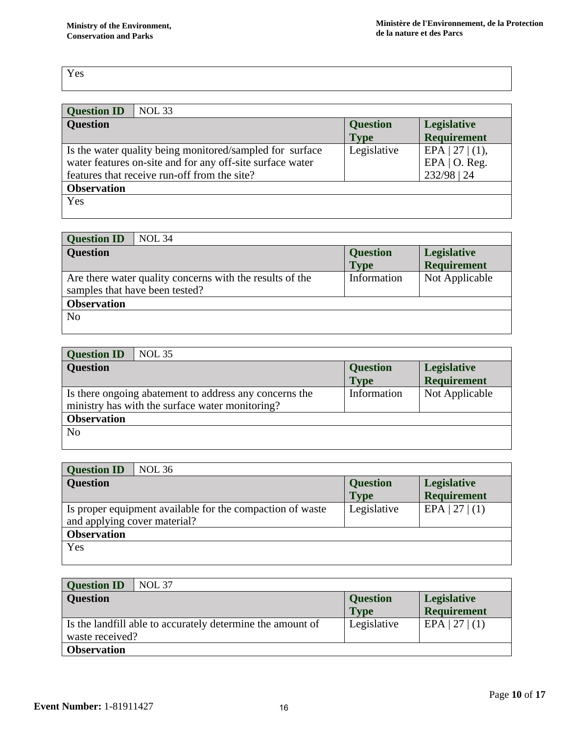| <b>NOL 33</b><br><b>Question ID</b>                                                                                                                                   |                                |                                                          |
|-----------------------------------------------------------------------------------------------------------------------------------------------------------------------|--------------------------------|----------------------------------------------------------|
| <b>Question</b>                                                                                                                                                       | <b>Question</b><br><b>Type</b> | <b>Legislative</b><br><b>Requirement</b>                 |
| Is the water quality being monitored/sampled for surface<br>water features on-site and for any off-site surface water<br>features that receive run-off from the site? | Legislative                    | EPA   27   $(1)$ ,<br>EPA $\vert$ O. Reg.<br>232/98   24 |
| <b>Observation</b>                                                                                                                                                    |                                |                                                          |
| Yes                                                                                                                                                                   |                                |                                                          |

| <b>Question ID</b><br><b>NOL 34</b>                                                        |                                |                                          |
|--------------------------------------------------------------------------------------------|--------------------------------|------------------------------------------|
| <b>Question</b>                                                                            | <b>Question</b><br><b>Type</b> | <b>Legislative</b><br><b>Requirement</b> |
| Are there water quality concerns with the results of the<br>samples that have been tested? | Information                    | Not Applicable                           |
| <b>Observation</b>                                                                         |                                |                                          |
| N <sub>o</sub>                                                                             |                                |                                          |

| <b>Question</b> | <b>Legislative</b><br><b>Requirement</b> |
|-----------------|------------------------------------------|
| Information     | Not Applicable                           |
|                 |                                          |
|                 |                                          |
|                 | <b>Type</b>                              |

| <b>Question ID</b><br><b>NOL 36</b>                       |                 |                    |
|-----------------------------------------------------------|-----------------|--------------------|
| <b>Question</b>                                           | <b>Question</b> | <b>Legislative</b> |
|                                                           | <b>Type</b>     | <b>Requirement</b> |
| Is proper equipment available for the compaction of waste | Legislative     | EPA   27   (1)     |
| and applying cover material?                              |                 |                    |
| <b>Observation</b>                                        |                 |                    |
| Yes                                                       |                 |                    |
|                                                           |                 |                    |

| <b>Question ID</b><br><b>NOL 37</b>                                              |                                |                                          |
|----------------------------------------------------------------------------------|--------------------------------|------------------------------------------|
| <b>Question</b>                                                                  | <b>Question</b><br><b>Type</b> | <b>Legislative</b><br><b>Requirement</b> |
| If Is the landfill able to accurately determine the amount of<br>waste received? | Legislative                    | $EPA$   27   (1)                         |
| <b>Observation</b>                                                               |                                |                                          |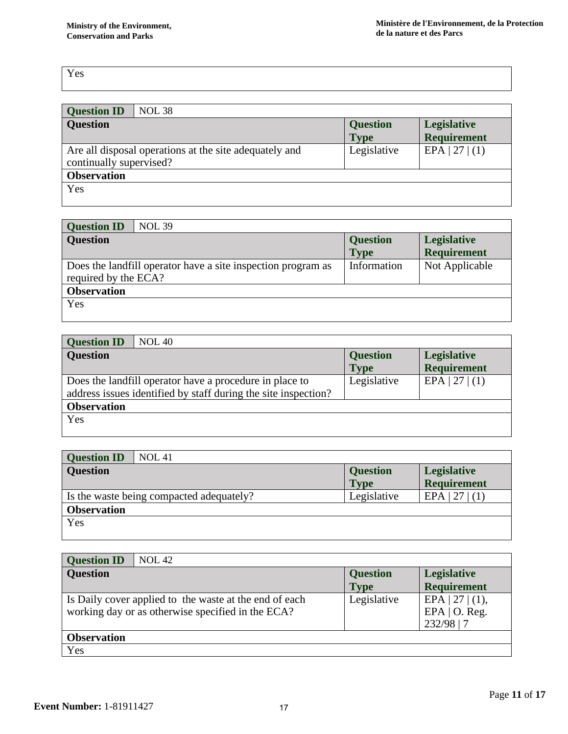| <b>NOL 38</b><br><b>Question ID</b>                    |                 |                    |
|--------------------------------------------------------|-----------------|--------------------|
| <b>Question</b>                                        | <b>Question</b> | <b>Legislative</b> |
|                                                        | <b>Type</b>     | <b>Requirement</b> |
| Are all disposal operations at the site adequately and | Legislative     | EPA   27   (1)     |
| continually supervised?                                |                 |                    |
| <b>Observation</b>                                     |                 |                    |
| Yes                                                    |                 |                    |
|                                                        |                 |                    |

| <b>NOL 39</b><br><b>Question ID</b>                                                  |                 |                    |
|--------------------------------------------------------------------------------------|-----------------|--------------------|
| <b>Question</b>                                                                      | <b>Question</b> | <b>Legislative</b> |
|                                                                                      | <b>Type</b>     | <b>Requirement</b> |
| Does the landfill operator have a site inspection program as<br>required by the ECA? | Information     | Not Applicable     |
| <b>Observation</b>                                                                   |                 |                    |
| Yes                                                                                  |                 |                    |

| <b>NOL 40</b><br><b>Question ID</b>                                                                                       |                                |                                   |
|---------------------------------------------------------------------------------------------------------------------------|--------------------------------|-----------------------------------|
| <b>Question</b>                                                                                                           | <b>Question</b><br><b>Type</b> | Legislative<br><b>Requirement</b> |
| Does the landfill operator have a procedure in place to<br>address issues identified by staff during the site inspection? | Legislative                    | EPA   27   (1)                    |
| <b>Observation</b>                                                                                                        |                                |                                   |
| Yes                                                                                                                       |                                |                                   |

| <b>Question ID</b><br><b>NOL 41</b>      |                 |                    |
|------------------------------------------|-----------------|--------------------|
| <b>Question</b>                          | <b>Question</b> | <b>Legislative</b> |
|                                          | <b>Type</b>     | <b>Requirement</b> |
| Is the waste being compacted adequately? | Legislative     | $EPA$   27   (1)   |
| <b>Observation</b>                       |                 |                    |
| Yes                                      |                 |                    |
|                                          |                 |                    |

| <b>NOL 42</b><br><b>Question ID</b>                                                                         |                 |                                                        |
|-------------------------------------------------------------------------------------------------------------|-----------------|--------------------------------------------------------|
| <b>Question</b>                                                                                             | <b>Question</b> | <b>Legislative</b>                                     |
|                                                                                                             | <b>Type</b>     | <b>Requirement</b>                                     |
| Is Daily cover applied to the waste at the end of each<br>working day or as otherwise specified in the ECA? | Legislative     | $EPA$   27   (1),<br>EPA $\vert$ O. Reg.<br>232/98   7 |
| <b>Observation</b>                                                                                          |                 |                                                        |
| Yes                                                                                                         |                 |                                                        |

Π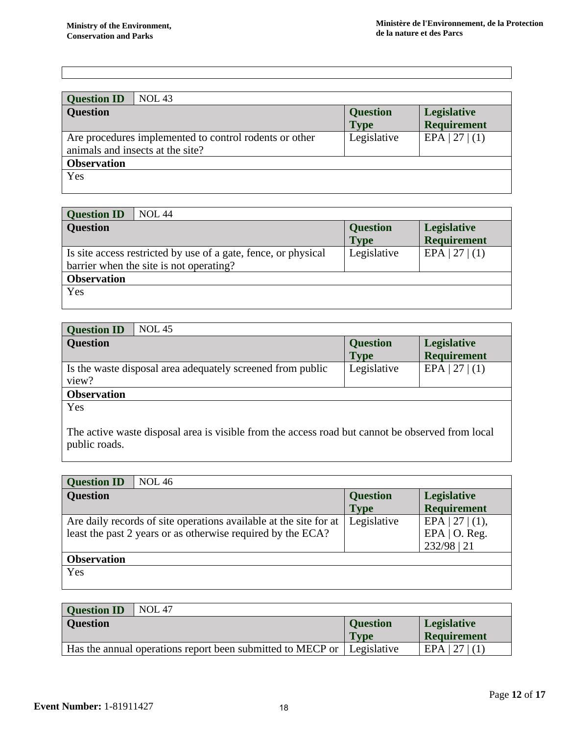| <b>Question ID</b><br><b>NOL 43</b>                                                        |                                |                                          |
|--------------------------------------------------------------------------------------------|--------------------------------|------------------------------------------|
| <b>Question</b>                                                                            | <b>Question</b><br><b>Type</b> | <b>Legislative</b><br><b>Requirement</b> |
| Are procedures implemented to control rodents or other<br>animals and insects at the site? | Legislative                    | EPA   27   (1)                           |
| <b>Observation</b>                                                                         |                                |                                          |
| Yes                                                                                        |                                |                                          |

| <b>NOL 44</b><br><b>Question ID</b>                            |                 |                    |
|----------------------------------------------------------------|-----------------|--------------------|
| <b>Question</b>                                                | <b>Question</b> | <b>Legislative</b> |
|                                                                | <b>Type</b>     | <b>Requirement</b> |
| Is site access restricted by use of a gate, fence, or physical | Legislative     | EPA   27   (1)     |
| barrier when the site is not operating?                        |                 |                    |
| <b>Observation</b>                                             |                 |                    |
| Yes                                                            |                 |                    |
|                                                                |                 |                    |

| <b>Question ID</b><br><b>NOL 45</b>                        |                 |                    |
|------------------------------------------------------------|-----------------|--------------------|
| <b>Question</b>                                            | <b>Question</b> | Legislative        |
|                                                            | <b>Type</b>     | <b>Requirement</b> |
| Is the waste disposal area adequately screened from public | Legislative     | EPA   27   (1)     |
| view?                                                      |                 |                    |
| <b>Observation</b>                                         |                 |                    |
| Yes                                                        |                 |                    |

The active waste disposal area is visible from the access road but cannot be observed from local public roads.

| <b>NOL 46</b><br><b>Question ID</b>                               |                 |                     |
|-------------------------------------------------------------------|-----------------|---------------------|
| <b>Question</b>                                                   | <b>Question</b> | Legislative         |
|                                                                   | <b>Type</b>     | <b>Requirement</b>  |
| Are daily records of site operations available at the site for at | Legislative     | EPA   27   $(1)$ ,  |
| least the past 2 years or as otherwise required by the ECA?       |                 | EPA $\vert$ O. Reg. |
|                                                                   |                 | 232/98   21         |
| <b>Observation</b>                                                |                 |                     |
| Yes                                                               |                 |                     |
|                                                                   |                 |                     |

| <b>Question ID</b> | <b>NOL 47</b>                                              |                 |                    |
|--------------------|------------------------------------------------------------|-----------------|--------------------|
| <b>Question</b>    |                                                            | <b>Ouestion</b> | <b>Legislative</b> |
|                    |                                                            | <b>Type</b>     | <b>Requirement</b> |
|                    | Has the annual operations report been submitted to MECP or | Legislative     | $EPA$   27   (1)   |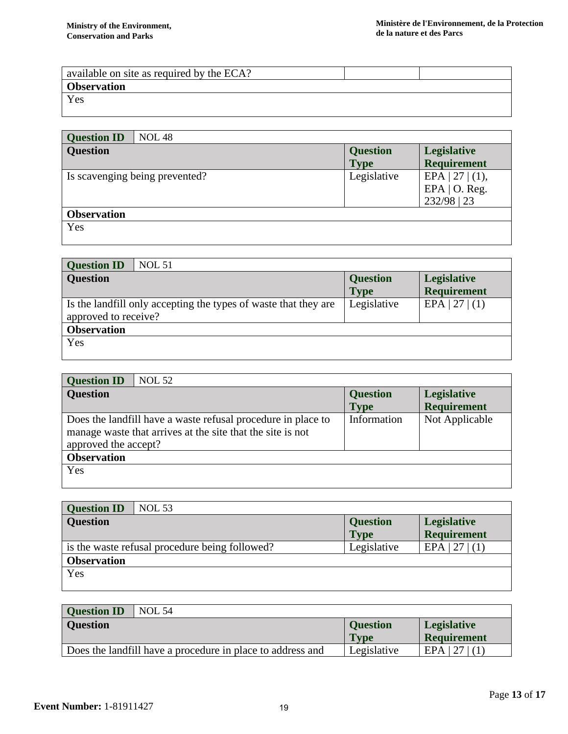| available on site as required by the ECA? |  |
|-------------------------------------------|--|
| <b>Observation</b>                        |  |
| Yes                                       |  |
|                                           |  |

| <b>NOL 48</b><br><b>Question ID</b> |                                |                                                          |
|-------------------------------------|--------------------------------|----------------------------------------------------------|
| <b>Question</b>                     | <b>Question</b><br><b>Type</b> | <b>Legislative</b><br><b>Requirement</b>                 |
| Is scavenging being prevented?      | Legislative                    | EPA   27   $(1)$ ,<br>EPA $\vert$ O. Reg.<br>232/98   23 |
| <b>Observation</b>                  |                                |                                                          |
| Yes                                 |                                |                                                          |

| <b>NOL 51</b><br><b>Question ID</b>                                                     |                                |                                          |
|-----------------------------------------------------------------------------------------|--------------------------------|------------------------------------------|
| <b>Question</b>                                                                         | <b>Question</b><br><b>Type</b> | <b>Legislative</b><br><b>Requirement</b> |
| Is the landfill only accepting the types of waste that they are<br>approved to receive? | Legislative                    | EPA   27   (1)                           |
| <b>Observation</b>                                                                      |                                |                                          |
| Yes                                                                                     |                                |                                          |

| <b>Question ID</b>   | <b>NOL 52</b>                                                                                                              |                 |                    |
|----------------------|----------------------------------------------------------------------------------------------------------------------------|-----------------|--------------------|
| <b>Question</b>      |                                                                                                                            | <b>Question</b> | Legislative        |
|                      |                                                                                                                            | <b>Type</b>     | <b>Requirement</b> |
| approved the accept? | Does the landfill have a waste refusal procedure in place to<br>manage waste that arrives at the site that the site is not | Information     | Not Applicable     |
| <b>Observation</b>   |                                                                                                                            |                 |                    |
| Yes                  |                                                                                                                            |                 |                    |

| <b>Question ID</b><br><b>NOL 53</b>            |                 |                    |
|------------------------------------------------|-----------------|--------------------|
| <b>Question</b>                                | <b>Question</b> | <b>Legislative</b> |
|                                                | <b>Type</b>     | <b>Requirement</b> |
| is the waste refusal procedure being followed? | Legislative     | $EPA$   27   (1)   |
| <b>Observation</b>                             |                 |                    |
| Yes                                            |                 |                    |
|                                                |                 |                    |

| <b>NOL 54</b><br><b>Ouestion ID</b> |                                                            |                 |                          |
|-------------------------------------|------------------------------------------------------------|-----------------|--------------------------|
| <b>Question</b>                     |                                                            | <b>Ouestion</b> | <b>Legislative</b>       |
|                                     |                                                            | <b>Type</b>     | <b>Requirement</b>       |
|                                     | Does the landfill have a procedure in place to address and | Legislative     | $\left 27\right $<br>EPA |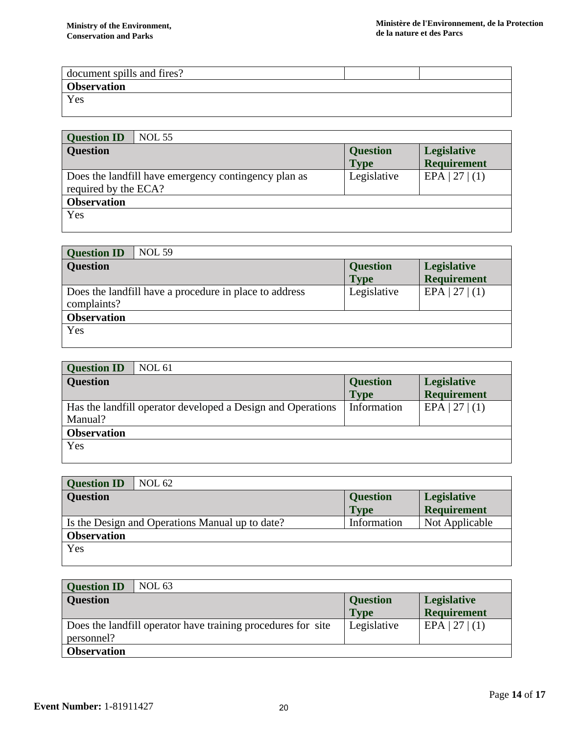| document spills and fires? |  |  |
|----------------------------|--|--|
| <b>Observation</b>         |  |  |
| Yes                        |  |  |
|                            |  |  |

| <b>Question ID</b>   | <b>NOL 55</b>                                        |                 |                    |
|----------------------|------------------------------------------------------|-----------------|--------------------|
| <b>Question</b>      |                                                      | <b>Question</b> | <b>Legislative</b> |
|                      |                                                      | <b>Type</b>     | <b>Requirement</b> |
| required by the ECA? | Does the landfill have emergency contingency plan as | Legislative     | EPA   27   (1)     |
| <b>Observation</b>   |                                                      |                 |                    |
| Yes                  |                                                      |                 |                    |

| <b>NOL 59</b><br><b>Question ID</b>                                   |                                |                                          |
|-----------------------------------------------------------------------|--------------------------------|------------------------------------------|
| <b>Question</b>                                                       | <b>Question</b><br><b>Type</b> | <b>Legislative</b><br><b>Requirement</b> |
| Does the landfill have a procedure in place to address<br>complaints? | Legislative                    | EPA   27   (1)                           |
| <b>Observation</b>                                                    |                                |                                          |
| Yes                                                                   |                                |                                          |

| <b>NOL 61</b><br><b>Question ID</b>                         |                 |                    |
|-------------------------------------------------------------|-----------------|--------------------|
| <b>Question</b>                                             | <b>Question</b> | <b>Legislative</b> |
|                                                             | <b>Type</b>     | <b>Requirement</b> |
| Has the landfill operator developed a Design and Operations | Information     | EPA   27   (1)     |
| Manual?                                                     |                 |                    |
| <b>Observation</b>                                          |                 |                    |
| Yes                                                         |                 |                    |
|                                                             |                 |                    |

| <b>NOL 62</b><br><b>Question ID</b>             |                 |                    |
|-------------------------------------------------|-----------------|--------------------|
| <b>Question</b>                                 | <b>Question</b> | Legislative        |
|                                                 | <b>Type</b>     | <b>Requirement</b> |
| Is the Design and Operations Manual up to date? | Information     | Not Applicable     |
| <b>Observation</b>                              |                 |                    |
| Yes                                             |                 |                    |
|                                                 |                 |                    |

| <b>Question ID</b><br><b>NOL 63</b>                                        |                                |                                          |
|----------------------------------------------------------------------------|--------------------------------|------------------------------------------|
| <b>Question</b>                                                            | <b>Question</b><br><b>Type</b> | <b>Legislative</b><br><b>Requirement</b> |
| Does the landfill operator have training procedures for site<br>personnel? | Legislative                    | EPA   27   (1)                           |
| <b>Observation</b>                                                         |                                |                                          |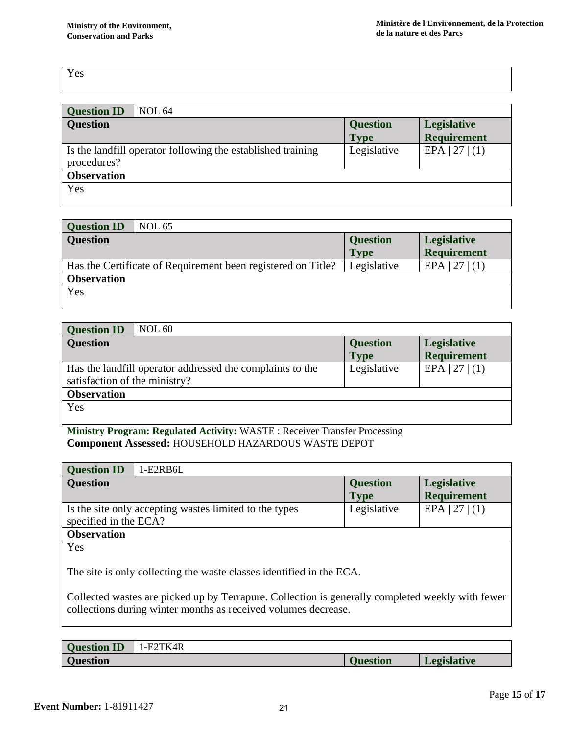| <b>Question ID</b> | <b>NOL 64</b>                                               |                 |                    |
|--------------------|-------------------------------------------------------------|-----------------|--------------------|
| <b>Question</b>    |                                                             | <b>Question</b> | Legislative        |
|                    |                                                             | <b>Type</b>     | <b>Requirement</b> |
|                    | Is the landfill operator following the established training | Legislative     | EPA   27   (1)     |
| procedures?        |                                                             |                 |                    |
| <b>Observation</b> |                                                             |                 |                    |
| Yes                |                                                             |                 |                    |
|                    |                                                             |                 |                    |

| <b>Question ID</b> | <b>NOL 65</b>                                                |                 |                    |
|--------------------|--------------------------------------------------------------|-----------------|--------------------|
| <b>Question</b>    |                                                              | <b>Question</b> | Legislative        |
|                    |                                                              | <b>Type</b>     | <b>Requirement</b> |
|                    | Has the Certificate of Requirement been registered on Title? | Legislative     | $EPA$   27   (1)   |
| <b>Observation</b> |                                                              |                 |                    |
| Yes                |                                                              |                 |                    |
|                    |                                                              |                 |                    |

| NOL 60<br><b>Question ID</b>                                                               |                                |                                          |
|--------------------------------------------------------------------------------------------|--------------------------------|------------------------------------------|
| <b>Question</b>                                                                            | <b>Question</b><br><b>Type</b> | <b>Legislative</b><br><b>Requirement</b> |
| Has the landfill operator addressed the complaints to the<br>satisfaction of the ministry? | Legislative                    | EPA   27   (1)                           |
| <b>Observation</b>                                                                         |                                |                                          |
| Yes                                                                                        |                                |                                          |

**Ministry Program: Regulated Activity:** WASTE : Receiver Transfer Processing **Component Assessed:** HOUSEHOLD HAZARDOUS WASTE DEPOT

| <b>Question ID</b><br>1-E2RB6L                                                                                                                                     |                 |                    |
|--------------------------------------------------------------------------------------------------------------------------------------------------------------------|-----------------|--------------------|
| <b>Question</b>                                                                                                                                                    | <b>Question</b> | <b>Legislative</b> |
|                                                                                                                                                                    | <b>Type</b>     | <b>Requirement</b> |
| Is the site only accepting wastes limited to the types                                                                                                             | Legislative     | EPA   27   (1)     |
| specified in the ECA?                                                                                                                                              |                 |                    |
| <b>Observation</b>                                                                                                                                                 |                 |                    |
| Yes                                                                                                                                                                |                 |                    |
| The site is only collecting the waste classes identified in the ECA.                                                                                               |                 |                    |
| Collected wastes are picked up by Terrapure. Collection is generally completed weekly with fewer<br>collections during winter months as received volumes decrease. |                 |                    |

| <b>Question ID</b> | `TK4R<br>– ! – E∠ . |                 |                      |
|--------------------|---------------------|-----------------|----------------------|
| <b>Question</b>    |                     | <b>Duestion</b> | $-00^{-7}$<br>lative |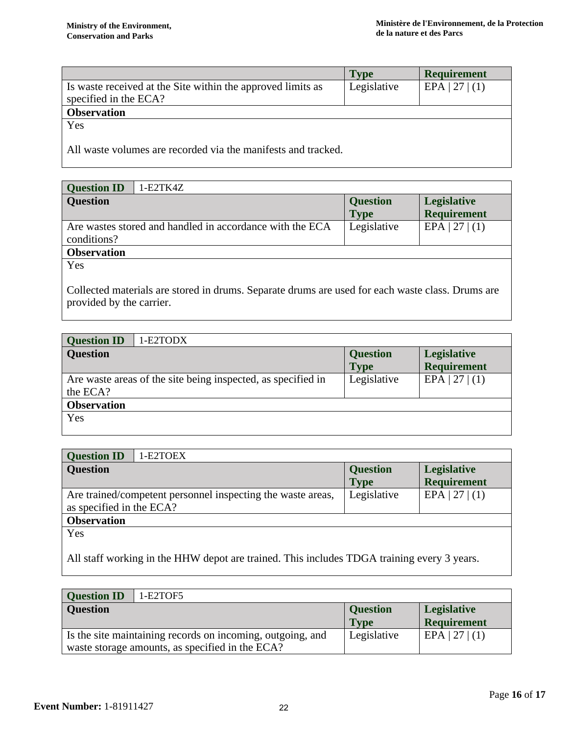|                                                               | Type        | <b>Requirement</b> |  |
|---------------------------------------------------------------|-------------|--------------------|--|
| Is waste received at the Site within the approved limits as   | Legislative | EPA   27   (1)     |  |
| specified in the ECA?                                         |             |                    |  |
| <b>Observation</b>                                            |             |                    |  |
| Yes                                                           |             |                    |  |
|                                                               |             |                    |  |
| All waste volumes are recorded via the manifests and tracked. |             |                    |  |

| <b>Question ID</b><br>$1-E2TK4Z$                         |                 |                    |
|----------------------------------------------------------|-----------------|--------------------|
| <b>Question</b>                                          | <b>Question</b> | <b>Legislative</b> |
|                                                          | <b>Type</b>     | <b>Requirement</b> |
| Are wastes stored and handled in accordance with the ECA | Legislative     | $EPA$   27   (1)   |
| conditions?                                              |                 |                    |
| <b>Observation</b>                                       |                 |                    |

Collected materials are stored in drums. Separate drums are used for each waste class. Drums are provided by the carrier.

| <b>Question ID</b><br>1-E2TODX                               |                            |                                          |
|--------------------------------------------------------------|----------------------------|------------------------------------------|
| <b>Question</b>                                              | <b>Question</b>            | <b>Legislative</b><br><b>Requirement</b> |
| Are waste areas of the site being inspected, as specified in | <b>Type</b><br>Legislative | EPA   27   (1)                           |
| the ECA?                                                     |                            |                                          |
| <b>Observation</b>                                           |                            |                                          |
| Yes                                                          |                            |                                          |

| <b>Question ID</b><br>1-E2TOEX                              |                 |                    |  |
|-------------------------------------------------------------|-----------------|--------------------|--|
| <b>Question</b>                                             | <b>Question</b> | <b>Legislative</b> |  |
|                                                             | <b>Type</b>     | <b>Requirement</b> |  |
| Are trained/competent personnel inspecting the waste areas, | Legislative     | EPA   27   (1)     |  |
| as specified in the ECA?                                    |                 |                    |  |
| <b>Observation</b>                                          |                 |                    |  |
| Yes                                                         |                 |                    |  |

All staff working in the HHW depot are trained. This includes TDGA training every 3 years.

| <b>Question ID</b><br>1-E2TOF5                             |                 |                    |
|------------------------------------------------------------|-----------------|--------------------|
| <b>Question</b>                                            | <b>Question</b> | <b>Legislative</b> |
|                                                            | <b>Type</b>     | <b>Requirement</b> |
| Is the site maintaining records on incoming, outgoing, and | Legislative     | $EPA$   27   (1)   |
| waste storage amounts, as specified in the ECA?            |                 |                    |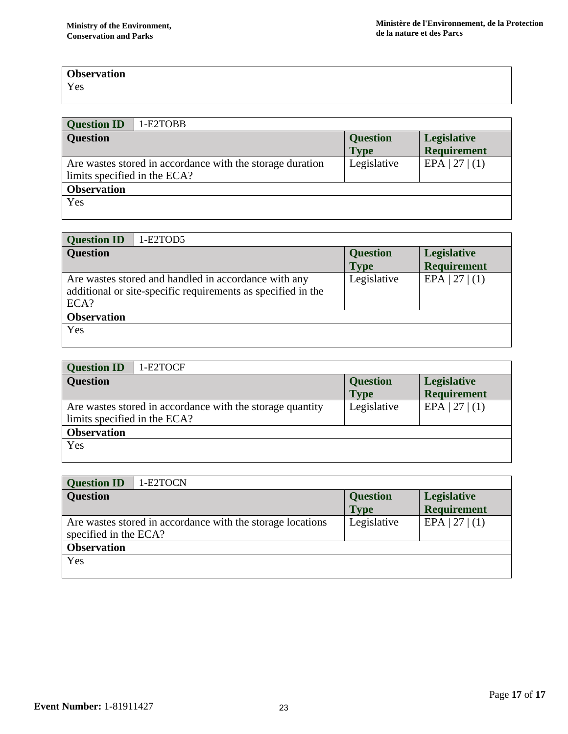# **Observation**

Yes

| <b>Question ID</b>           | 1-E2TOBB                                                  |                                |                                   |
|------------------------------|-----------------------------------------------------------|--------------------------------|-----------------------------------|
| <b>Question</b>              |                                                           | <b>Question</b><br><b>Type</b> | Legislative<br><b>Requirement</b> |
| limits specified in the ECA? | Are wastes stored in accordance with the storage duration | Legislative                    | EPA   27   (1)                    |
| <b>Observation</b>           |                                                           |                                |                                   |
| Yes                          |                                                           |                                |                                   |

| <b>Question ID</b> | 1-E2TOD5                                                                                                             |                 |                    |
|--------------------|----------------------------------------------------------------------------------------------------------------------|-----------------|--------------------|
| <b>Question</b>    |                                                                                                                      | <b>Question</b> | <b>Legislative</b> |
|                    |                                                                                                                      | <b>Type</b>     | <b>Requirement</b> |
| ECA?               | Are wastes stored and handled in accordance with any<br>additional or site-specific requirements as specified in the | Legislative     | EPA   27   (1)     |
| <b>Observation</b> |                                                                                                                      |                 |                    |
| Yes                |                                                                                                                      |                 |                    |

| <b>Question ID</b><br>1-E2TOCF                                                            |                 |                    |  |
|-------------------------------------------------------------------------------------------|-----------------|--------------------|--|
| <b>Question</b>                                                                           | <b>Question</b> | <b>Legislative</b> |  |
|                                                                                           | <b>Type</b>     | <b>Requirement</b> |  |
| Are wastes stored in accordance with the storage quantity<br>limits specified in the ECA? | Legislative     | EPA   27   (1)     |  |
| <b>Observation</b>                                                                        |                 |                    |  |
| Yes                                                                                       |                 |                    |  |

| <b>Question ID</b><br>1-E2TOCN                                                      |                                |                                          |  |
|-------------------------------------------------------------------------------------|--------------------------------|------------------------------------------|--|
| <b>Question</b>                                                                     | <b>Question</b><br><b>Type</b> | <b>Legislative</b><br><b>Requirement</b> |  |
| Are wastes stored in accordance with the storage locations<br>specified in the ECA? | Legislative                    | EPA   27   (1)                           |  |
| <b>Observation</b>                                                                  |                                |                                          |  |
| Yes                                                                                 |                                |                                          |  |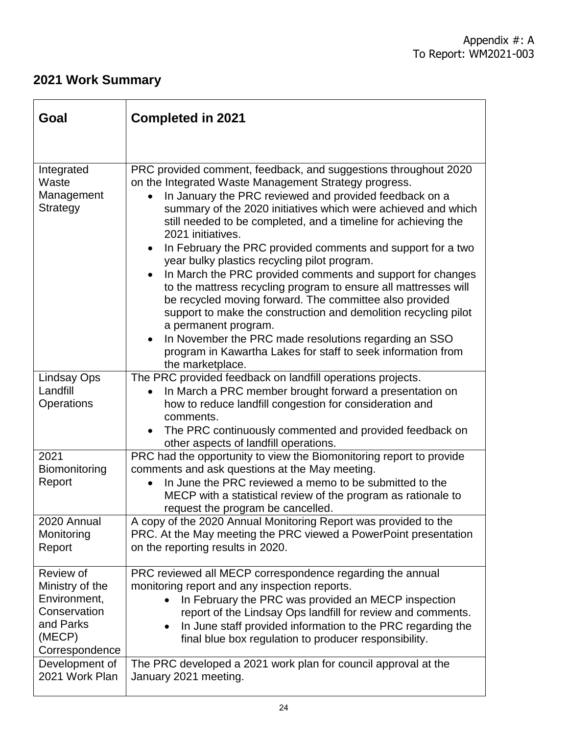# **2021 Work Summary**

| Goal                                                                                                  | <b>Completed in 2021</b>                                                                                                                                                                                                                                                                                                                                                                                                                                                                                                                                                                                                                                           |
|-------------------------------------------------------------------------------------------------------|--------------------------------------------------------------------------------------------------------------------------------------------------------------------------------------------------------------------------------------------------------------------------------------------------------------------------------------------------------------------------------------------------------------------------------------------------------------------------------------------------------------------------------------------------------------------------------------------------------------------------------------------------------------------|
| Integrated<br>Waste<br>Management<br><b>Strategy</b>                                                  | PRC provided comment, feedback, and suggestions throughout 2020<br>on the Integrated Waste Management Strategy progress.<br>In January the PRC reviewed and provided feedback on a<br>summary of the 2020 initiatives which were achieved and which<br>still needed to be completed, and a timeline for achieving the<br>2021 initiatives.<br>In February the PRC provided comments and support for a two<br>$\bullet$<br>year bulky plastics recycling pilot program.<br>In March the PRC provided comments and support for changes<br>to the mattress recycling program to ensure all mattresses will<br>be recycled moving forward. The committee also provided |
|                                                                                                       | support to make the construction and demolition recycling pilot<br>a permanent program.<br>In November the PRC made resolutions regarding an SSO<br>program in Kawartha Lakes for staff to seek information from<br>the marketplace.                                                                                                                                                                                                                                                                                                                                                                                                                               |
| <b>Lindsay Ops</b><br>Landfill<br>Operations                                                          | The PRC provided feedback on landfill operations projects.<br>In March a PRC member brought forward a presentation on<br>how to reduce landfill congestion for consideration and<br>comments.<br>The PRC continuously commented and provided feedback on<br>other aspects of landfill operations.                                                                                                                                                                                                                                                                                                                                                                  |
| 2021<br>Biomonitoring<br>Report                                                                       | PRC had the opportunity to view the Biomonitoring report to provide<br>comments and ask questions at the May meeting.<br>In June the PRC reviewed a memo to be submitted to the<br>MECP with a statistical review of the program as rationale to<br>request the program be cancelled.                                                                                                                                                                                                                                                                                                                                                                              |
| 2020 Annual<br>Monitoring<br>Report                                                                   | A copy of the 2020 Annual Monitoring Report was provided to the<br>PRC. At the May meeting the PRC viewed a PowerPoint presentation<br>on the reporting results in 2020.                                                                                                                                                                                                                                                                                                                                                                                                                                                                                           |
| Review of<br>Ministry of the<br>Environment,<br>Conservation<br>and Parks<br>(MECP)<br>Correspondence | PRC reviewed all MECP correspondence regarding the annual<br>monitoring report and any inspection reports.<br>In February the PRC was provided an MECP inspection<br>$\bullet$<br>report of the Lindsay Ops landfill for review and comments.<br>In June staff provided information to the PRC regarding the<br>final blue box regulation to producer responsibility.                                                                                                                                                                                                                                                                                              |
| Development of<br>2021 Work Plan                                                                      | The PRC developed a 2021 work plan for council approval at the<br>January 2021 meeting.                                                                                                                                                                                                                                                                                                                                                                                                                                                                                                                                                                            |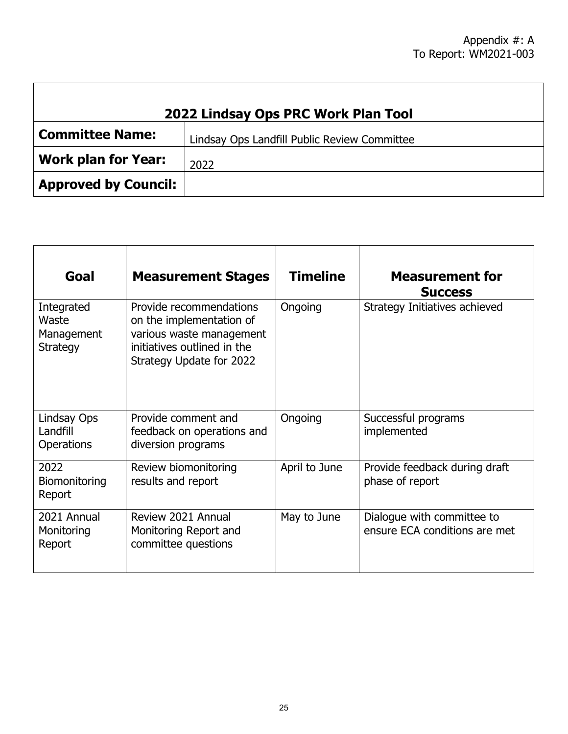| 2022 Lindsay Ops PRC Work Plan Tool |                                              |  |  |
|-------------------------------------|----------------------------------------------|--|--|
| <b>Committee Name:</b>              | Lindsay Ops Landfill Public Review Committee |  |  |
| <b>Work plan for Year:</b>          | 2022                                         |  |  |
| <b>Approved by Council:</b>         |                                              |  |  |

| Goal                                          | <b>Measurement Stages</b>                                                                                                                  | <b>Timeline</b> | <b>Measurement for</b><br><b>Success</b>                    |
|-----------------------------------------------|--------------------------------------------------------------------------------------------------------------------------------------------|-----------------|-------------------------------------------------------------|
| Integrated<br>Waste<br>Management<br>Strategy | Provide recommendations<br>on the implementation of<br>various waste management<br>initiatives outlined in the<br>Strategy Update for 2022 | Ongoing         | Strategy Initiatives achieved                               |
| Lindsay Ops<br>Landfill<br><b>Operations</b>  | Provide comment and<br>feedback on operations and<br>diversion programs                                                                    | Ongoing         | Successful programs<br>implemented                          |
| 2022<br>Biomonitoring<br>Report               | Review biomonitoring<br>results and report                                                                                                 | April to June   | Provide feedback during draft<br>phase of report            |
| 2021 Annual<br>Monitoring<br>Report           | Review 2021 Annual<br>Monitoring Report and<br>committee questions                                                                         | May to June     | Dialogue with committee to<br>ensure ECA conditions are met |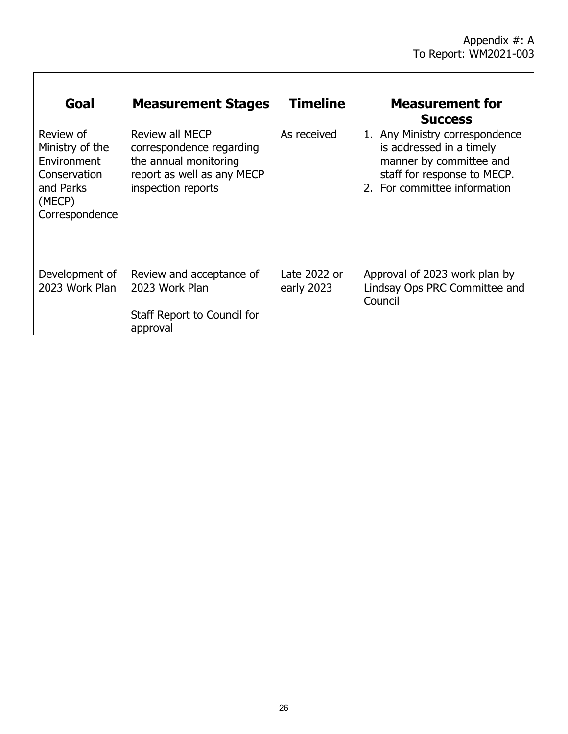| Goal                                                                                                 | <b>Measurement Stages</b>                                                                                                | <b>Timeline</b>            | <b>Measurement for</b><br><b>Success</b>                                                                                                             |
|------------------------------------------------------------------------------------------------------|--------------------------------------------------------------------------------------------------------------------------|----------------------------|------------------------------------------------------------------------------------------------------------------------------------------------------|
| Review of<br>Ministry of the<br>Environment<br>Conservation<br>and Parks<br>(MECP)<br>Correspondence | Review all MECP<br>correspondence regarding<br>the annual monitoring<br>report as well as any MECP<br>inspection reports | As received                | 1. Any Ministry correspondence<br>is addressed in a timely<br>manner by committee and<br>staff for response to MECP.<br>2. For committee information |
| Development of<br>2023 Work Plan                                                                     | Review and acceptance of<br>2023 Work Plan<br>Staff Report to Council for<br>approval                                    | Late 2022 or<br>early 2023 | Approval of 2023 work plan by<br>Lindsay Ops PRC Committee and<br>Council                                                                            |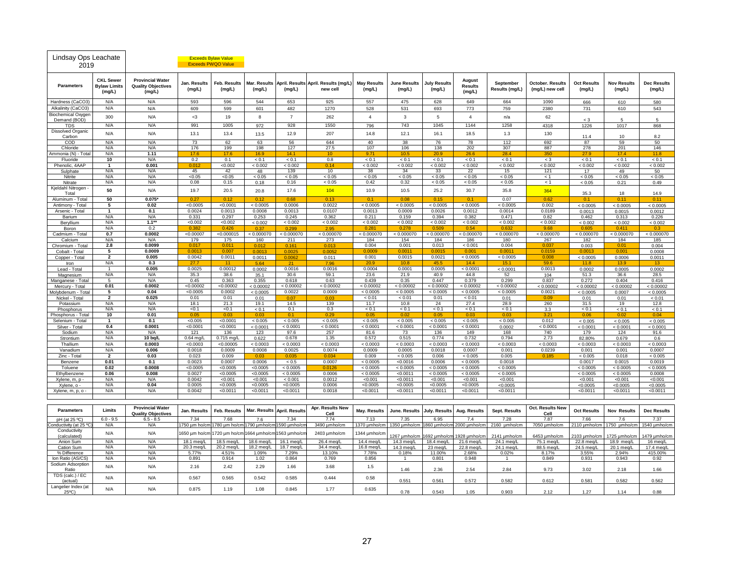| Lindsay Ops Leachate<br>2019              |                                                   |                                                                |                        | <b>Exceeds Bylaw Value</b><br><b>Exceeds PWQO Value</b> |                        |                             |                                                  |                              |                                        |                               |                                    |                             |                                            |                              |                              |                              |
|-------------------------------------------|---------------------------------------------------|----------------------------------------------------------------|------------------------|---------------------------------------------------------|------------------------|-----------------------------|--------------------------------------------------|------------------------------|----------------------------------------|-------------------------------|------------------------------------|-----------------------------|--------------------------------------------|------------------------------|------------------------------|------------------------------|
| <b>Parameters</b>                         | <b>CKL Sewer</b><br><b>Bylaw Limits</b><br>(mg/L) | <b>Provincial Water</b><br><b>Quality Objectives</b><br>(mg/L) | Jan. Results<br>(mg/L) | <b>Feb. Results</b><br>(mg/L)                           | Mar. Results<br>(mg/L) | (mg/L)                      | April. Results April. Results (mg/L)<br>new cell | <b>May Results</b><br>(mg/L) | <b>June Results</b><br>(mg/L)          | <b>July Results</b><br>(mg/L) | August<br><b>Results</b><br>(mg/L) | September<br>Results (mg/L) | <b>October. Results</b><br>(mg/L) new cell | <b>Oct Results</b><br>(mg/L) | <b>Nov Results</b><br>(mg/L) | <b>Dec Results</b><br>(mg/L) |
| Hardness (CaCO3)                          | N/A                                               | N/A                                                            | 593                    | 596                                                     | 544                    | 653                         | 925                                              | 557                          | 475                                    | 628                           | 649                                | 664                         | 1090                                       | 666                          | 610                          | 580                          |
| Alkalinity (CaCO3)                        | N/A                                               | N/A                                                            | 609                    | 599                                                     | 601                    | 482                         | 1270                                             | 528                          | 531                                    | 693                           | 773                                | 759                         | 2380                                       | 731                          | 610                          | 543                          |
| <b>Biochemical Oxyger</b><br>Demand (BOD) | 300                                               | N/A                                                            | $3$                    | 19                                                      | 8                      | $\overline{7}$              | 262                                              | $\overline{4}$               | $\mathbf{3}$                           | 5                             | $\overline{4}$                     | n/a                         | 62                                         | < 3                          | -5                           | 5                            |
| <b>TDS</b>                                | N/A                                               | N/A                                                            | 991                    | 1005                                                    | 972                    | 928                         | 1550                                             | 796                          | 743                                    | 1045                          | 1144                               | 1258                        | 4318                                       | 1226                         | 1017                         | 868                          |
| Dissolved Organic                         | N/A                                               | N/A                                                            | 13.1                   | 13.4                                                    | 13.5                   | 12.9                        | 207                                              | 14.8                         | 12.1                                   | 16.1                          | 18.5                               | 1.3                         | 130                                        |                              |                              |                              |
| Carbon<br>COD                             | N/A                                               | N/A                                                            | 73                     | 62                                                      | 63                     | 56                          | 644                                              | 40                           | 38                                     | 76                            | 78                                 | 112                         | 692                                        | 11.4<br>87                   | 10<br>59                     | 8.2<br>50                    |
| Chloride                                  | N/A                                               | N/A                                                            | 176                    | 199                                                     | 198                    | 127                         | 27.5                                             | 107                          | 106                                    | 138                           | 202                                | 307                         | 887                                        | 278                          | 201                          | 146                          |
| Ammonia (N) - Total                       | N/A                                               | 1.11                                                           | 17.6                   | 17.6                                                    | 169                    | 14.1                        | 10                                               | 9.71                         | 10.5                                   | 20.9                          | 26.6                               | 28.4                        | 350                                        | 27.9                         | 17.4                         | 11.8                         |
| Fluoride<br>Phenolic, 4AAP                | 10<br>1                                           | N/A<br>0.001                                                   | 0.2<br>0.012           | 0.1<br>< 0.002                                          | < 0.1<br>< 0.002       | < 0.1<br>< 0.002            | 0.8<br>0.14                                      | $< 0.1$<br>< 0.002           | $< 0.1$<br>< 0.002                     | < 0.1<br>< 0.002              | < 0.1<br>< 0.002                   | < 0.1<br>< 0.002            | $< 3\,$<br>< 0.002                         | < 0.1<br>< 0.002             | < 0.1<br>< 0.002             | < 0.1<br>< 0.002             |
| Sulphate                                  | N/A                                               | N/A                                                            | 45                     | 42                                                      | 48                     | 139                         | 10                                               | 38                           | 34                                     | 33                            | 22                                 | 15                          | 121                                        | 17                           | 49                           | 50                           |
| Nitrite                                   | N/A                                               | N/A                                                            | < 0.05                 | < 0.05                                                  | < 0.05                 | < 0.05                      | < 0.05                                           | < 0.05                       | < 0.05                                 | < 0.05                        | < 0.05                             | < 0.05                      | < 1                                        | < 0.05                       | < 0.05                       | < 0.05                       |
| Nitrate<br>Kjeldahl Nitrogen              | N/A                                               | N/A                                                            | 0.08                   | 0.15                                                    | 0.18                   | 0.16                        | < 0.05                                           | 0.42                         | 0.32                                   | < 0.05                        | < 0.05                             | < 0.05                      | < 1                                        | < 0.05                       | 0.21                         | 0.49                         |
| Total<br>Aluminum - Total                 | 50<br>50                                          | N/A<br>$0.075*$                                                | 19.7<br>0.27           | 20.5<br>0.12                                            | 20.8<br>0.12           | 17.6<br>0.68                | 104<br>0.13                                      | 10.9<br>0.1                  | 10.5<br>0.08                           | 25.2<br>0.15                  | 30.7<br>0.1                        | 35.8<br>0.07                | 364<br>0.62                                | 35.3<br>0.1                  | 18<br>0.11                   | 14.9<br>0.11                 |
| Antimony - Total                          | 5                                                 | 0.02                                                           | < 0.0005               | < 0.0001                                                | < 0.0005               | 0.0006                      | 0.0022                                           | < 0.0005                     | < 0.0005                               | < 0.0005                      | < 0.0005                           | < 0.0005                    | 0.002                                      | < 0.0005                     | < 0.0005                     | < 0.0005                     |
| Arsenic - Total                           |                                                   | 0.1                                                            | 0.0024                 | 0.0013                                                  | 0.0008                 | 0.0013                      | 0.0107                                           | 0.0013                       | 0.0009                                 | 0.0026                        | 0.0012                             | 0.0014                      | 0.0189                                     | 0.0013                       | 0.0015                       | 0.0012                       |
| Barium<br>Beryllium                       | N/A<br>N/A                                        | N/A<br>$1.1***$                                                | 0.331<br>< 0.002       | 0.297<br>< 0.002                                        | 0.253<br>< 0.002       | 0.245<br>< 0.002            | 0.362<br>< 0.002                                 | 0.211<br>< 0.002             | 0.159<br>< 0.002                       | 0.394<br>< 0.002              | 0.382<br>< 0.002                   | 0.471<br>< 0.002            | 0.82<br>< 0.002                            | 0.462<br>< 0.002             | 0.313<br>< 0.002             | 0.226<br>< 0.002             |
| Boron                                     | N/A                                               | 0.2                                                            |                        | 0.426                                                   |                        |                             | 2.95                                             |                              | በ 27ያ                                  |                               | 0.54                               |                             | 9.68                                       | <u>n 605</u>                 | 0.411                        |                              |
| Cadmium - Total                           | 0.7                                               | 0.0002                                                         | < 0.00007              | < 0.000015                                              | < 0.000070             | < 0.000070                  | < 0.000070                                       | < 0.000070                   | < 0.000070                             | < 0.000070                    | < 0.000070                         | < 0.000070                  | < 0.000070                                 | < 0.000070                   | < 0.000070                   | < 0.000070                   |
| Calcium<br>Chromium - Total               | N/A<br>2.8                                        | N/A<br>0.0099                                                  | 179<br>0.017           | 175<br>0.011                                            | 160<br>0.012           | 211<br>0.161                | 273<br>0.013                                     | 184<br>0.004                 | 154<br>0.001                           | 184<br>0.013                  | 186<br>< 0.001                     | 180<br>0.004                | 267<br>0.037                               | 182<br>0.003                 | 184<br>0.01                  | 185<br>0.004                 |
| Cobalt - Total                            | 5                                                 | 0.0009                                                         | 0.0013                 | 0.007                                                   | 0.0013                 | 0.0025                      | 0.0052                                           | 0.000                        | 0.001                                  | 0.0015                        | 0.001                              | 0.001                       | 0.0159                                     | 0.0013                       | 0.001                        | 0.0008                       |
| Copper - Total                            | $\overline{2}$                                    | 0.005                                                          | 0.0042                 | 0.0011                                                  | 0.0011                 | 0.0062                      | 0.011                                            | 0.001                        | 0.0015                                 | 0.0021                        | < 0.0005                           | < 0.0005                    | 0.008                                      | < 0.0005                     | 0.0006                       | 0.0011                       |
| Iron<br>Lead - Total                      | N/A<br>$\mathbf{1}$                               | 0.3<br>0.005                                                   | 27.7<br>0.0025         | 11<br>0.00012                                           | 5.64<br>0.0002         | 21<br>0.0016                | 7.96<br>0.0016                                   | 20.9<br>0.0004               | 10.8<br>0.0001                         | 45.5<br>0.0005                | 14.4<br>< 0.0001                   | 15.1<br>< 0.0001            | 59.6<br>0.0013                             | 11.8<br>0.0002               | 13.9<br>0.0005               | 13<br>0.0002                 |
| Magnesium                                 | N/A                                               | N/A                                                            | 35.3                   | 38.6                                                    | 35.1                   | 30.6                        | 59.1                                             | 23.6                         | 21.9                                   | 40.9                          | 44.8                               | 52                          | 104                                        | 51.3                         | 36.6                         | 28.5                         |
| Manganese - Total                         | 5                                                 | N/A                                                            | 0.45                   | 0.363                                                   | 0.355                  | 0.618                       | 0.63                                             | 0.439                        | 0.35                                   | 0.447                         | 0.379                              | 0.299                       | 0.837                                      | 0.272                        | 0.404                        | 0.416                        |
| Mercury - Total                           | 0.01<br>5                                         | 0.0002<br>0.04                                                 | < 0.00002<br>< 0.0005  | < 0.00002<br>0.0002                                     | < 0.00002              | < 0.00002<br>0.0022         | < 0.00002<br>0.0009                              | < 0.00002<br>< 0.0005        | < 0.00002<br>< 0.0005                  | < 0.00002<br>< 0.0005         | < 0.00002<br>< 0.0005              | < 0.00002<br>< 0.0005       | < 0.00002<br>0.0021                        | < 0.00002                    | < 0.00002                    | < 0.00002                    |
| Molybdenum - Total<br>Nickel - Total      | $\overline{2}$                                    | 0.025                                                          | 0.01                   | 0.01                                                    | < 0.0005<br>0.01       | 0.07                        | 0.03                                             | < 0.01                       | < 0.01                                 | 0.01                          | < 0.01                             | 0.01                        | 0.09                                       | < 0.0005<br>0.01             | 0.0007<br>0.01               | < 0.0005<br>< 0.01           |
| Potassium                                 | N/A                                               | N/A                                                            | 18.1                   | 21.3                                                    | 19.1                   | 14.5                        | 139                                              | 11.7                         | 10.8                                   | 24                            | 27.4                               | 28.9                        | 260                                        | 31.5                         | 19                           | 12.8                         |
| Phosphorus<br>Phosphorus - Total          | N/A<br>10                                         | N/A<br>0.01                                                    | < 0.1<br>0.05          | < 0.1<br>0.03                                           | $< 0.1$<br>0.03        | 0.1<br>0.1                  | 0.3<br>0.29                                      | < 0.1<br>0.05                | $< 0.1$<br>0.02                        | < 0.1<br>0.05                 | < 0.1<br>0.03                      | < 0.1<br>0.03               | 3.3<br>3.21                                | < 0.1<br>0.06                | < 0.1<br>0.02                | < 0.1<br>0.04                |
| Selenium - Total                          | 1                                                 | 0.1                                                            | < 0.005                | < 0.0001                                                | < 0.005                | < 0.005                     | < 0.005                                          | < 0.005                      | < 0.005                                | < 0.005                       | < 0.005                            | < 0.005                     | 0.012                                      | < 0.005                      | < 0.005                      | < 0.005                      |
| Silver - Total                            | 0.4                                               | 0.0001                                                         | < 0.0001               | < 0.0001                                                | < 0.0001               | < 0.0001                    | < 0.0001                                         | < 0.0001                     | < 0.0001                               | < 0.0001                      | < 0.0001                           | 0.0002                      | < 0.0001                                   | < 0.0001                     | < 0.0001                     | < 0.0001                     |
| Sodium                                    | N/A<br>N/A                                        | N/A<br>10 bq/L                                                 | 121<br>0.64 mg/L       | 136<br>0.715 mg/L                                       | 123<br>0.622           | 97.6<br>0.678               | 257<br>1.35                                      | 81.6<br>0.572                | 73<br>0.515                            | 136<br>0.774                  | 149<br>0.732                       | 168<br>0.794                | 740<br>2.73                                | 179<br>82.80%                | 124<br>0.679                 | 91.6<br>0.6                  |
| Strontium<br>Thallium                     | N/A                                               | 0.0003                                                         | < 0.0003               | < 0.00005                                               | < 0.0003               | < 0.0003                    | < 0.0003                                         | < 0.0003                     | < 0.0003                               | < 0.0003                      | < 0.0003                           | < 0.0003                    | < 0.0003                                   | < 0.0003                     | < 0.0003                     | < 0.0003                     |
| Vanadium                                  | N/A                                               | 0.006                                                          | 0.0018                 | 0.0009                                                  | 0.0008                 | 0.0025                      | 0.0074                                           | 0.0009                       | 0.0005                                 | 0.0018                        | 0.0007                             | 0.001                       | 0.0239                                     | 0.001                        | 0.001                        | 0.0007                       |
| Zinc - Total                              | $\overline{2}$                                    | 0.03                                                           | 0.023                  | 0.009                                                   | 0.03                   | 0.035                       | 0.034                                            | 0.009                        | < 0.005                                | 0.006                         | < 0.005                            | 0.005                       | 0.185                                      | < 0.005                      | 0.018                        | < 0.005                      |
| Benzene<br>Toluene                        | 0.01<br>0.02                                      | 0.1<br>0.0008                                                  | 0.0023<br>< 0.0005     | 0.0007<br>< 0.0005                                      | 0.0006<br>< 0.0005     | < 0.5<br>< 0.0005           | 0.0007<br>0.0126                                 | < 0.0005<br>< 0.0005         | < 0.0016<br>< 0.0005                   | 0.0006<br>< 0.0005            | < 0.0005<br>< 0.0005               | 0.0018<br>< 0.0005          |                                            | 0.0017<br>< 0.0005           | 0.0015<br>< 0.0005           | 0.0019<br>< 0.0005           |
| Ethylbenzene                              | 0.06                                              | 0.008                                                          | 0.0027                 | < 0.0005                                                | < 0.0005               | < 0.0005                    | 0.0006                                           | < 0.0005                     | < 0.0011                               | < 0.0005                      | < 0.0005                           | < 0.0005                    |                                            | < 0.0005                     | < 0.0005                     | 0.0008                       |
| Xylene, m, p -                            | N/A                                               | N/A<br>0.04                                                    | 0.0042                 | < 0.001                                                 | < 0.001                | < 0.001                     | 0.0012                                           | < 0.001                      | < 0.0011                               | < 0.001                       | < 0.001                            | < 0.001                     |                                            | < 0.001                      | < 0.001                      | < 0.001                      |
| Xylene, o -<br>Xylene, m, p, o -          | N/A<br>N/A                                        | N/A                                                            | 0.0005<br>0.0042       | < 0.0005<br>< 0.0011                                    | < 0.0005<br>< 0.0011   | <0.0005<br>< 0.0011         | 0.0006<br>0.0018                                 | < 0.0005<br>< 0.0011         | < 0.0005<br>< 0.0011                   | < 0.0005<br>< 0.0011          | < 0.0005<br>< 0.0011               | < 0.0005<br>< 0.0011        |                                            | < 0.0005<br>< 0.0011         | < 0.0005<br>< 0.0011         | < 0.0005<br>< 0.0011         |
|                                           |                                                   |                                                                |                        |                                                         |                        |                             |                                                  |                              |                                        |                               |                                    |                             |                                            |                              |                              |                              |
| <b>Parameters</b>                         | Limits                                            | <b>Provincial Water</b><br><b>Quality Objectives</b>           | Jan. Results           | Feb. Results                                            |                        | Mar. Results April. Results | Apr. Results New<br>Cell                         | May. Results                 | June. Results                          | <b>July. Results</b>          | Aug. Results                       | Sept. Results               | Oct. Results New<br>Cell                   | <b>Oct Results</b>           | <b>Nov Results</b>           | <b>Dec Results</b>           |
| pH (at 25 °C)                             | $6.0 - 9.5$                                       | $6.5 - 8.5$                                                    | 7.34                   | 7.68                                                    | 7.6                    | 7.34                        | 7.74                                             | 7.13                         | 7.35                                   | 6.95                          | 7.4                                | 7.28                        | 7.87                                       | 7.66                         | 7.6                          | 7.37                         |
| onductivity (at 25 °C)<br>Conductivity    | N/A                                               | N/A                                                            |                        | 1750 um ho/cm 1780 um ho/cm                             |                        | 1790 umho/cm 1590 umho/cm   | 3490 µmho/cm                                     | 1370 µmho/cm                 | 1350 umho/cm 1860 umho/cm 2000 umho/cm |                               |                                    | 2160 µmho/cm                | 7050 µmho/cm                               | 2110 µmho/cm                 | 1750 µmho/cm                 | 1540 µmho/cm                 |
| (calculated)                              | N/A                                               | N/A                                                            |                        | 1650 um ho/cm 1720 um ho/cm                             |                        | 1664 umho/cm 1563 umho/cm   | 2403 umho/cm                                     | 1344 umho/cm                 | 267 µmho/cm                            | 692 µmho/cm                   | 1928 umho/cm                       | 2141 µmho/cm                | 6453 µmho/cm                               | 2103 µmho/cm                 | 1725 umho/cm                 | 1479 µmho/cm                 |
| Anion Sum                                 | N/A                                               | N/A                                                            | 18.1 meg/L             | 18.5 meg/L                                              | 18.6 meg/L             | 16.1 meg/L                  | 26.4 meg/L                                       | 14.4 meg/L                   | 14.3 meg/L                             | 18.4 meg/L                    | 21.6 meg/L                         | 24.1 meg/L                  | 75.1 meg/L                                 | 22.8 meg/L                   | 18.9 meg/L                   | 16 meq/L                     |
| Cation Sum<br>% Difference                | N/A<br>N/A                                        | N/A<br>N/A                                                     | $20.3$ meg/L<br>5.77%  | $20.2$ meq/L<br>4.51%                                   | 18.2 meg/L<br>1.09%    | 18.7 meg/L<br>7.29%         | 34.4 meg/L<br>13.10%                             | 16.8 meg/L<br>7.78%          | 14.3 meg/L<br>0.18%                    | 23 meg/L<br>11.00%            | 22.8 meg/L<br>2.68%                | 24.1 meg/L<br>0.02%         | 88.5 meg/L<br>8.17%                        | 24.5 meg/L<br>3.55%          | 20.1 meg/L<br>2.94%          | 17.4 meg/L<br>415.00%        |
| lon Ratio (AS/CS)                         | N/A                                               | N/A                                                            | 0.891                  | 0.914                                                   | 1.02                   | 0.864                       | 0.769                                            | 0.856                        |                                        | 0.801                         | 0.948                              |                             | 0.849                                      | 0.931                        | 0.943                        | 0.92                         |
| Sodium Adsorption<br>Ratio                | N/A                                               | N/A                                                            | 2.16                   | 2.42                                                    | 2.29                   | 1.66                        | 3.68                                             | 1.5                          | 1.46                                   | 2.36                          | 2.54                               | 2.84                        | 9.73                                       | 3.02                         | 2.18                         | 1.66                         |
| TDS (calc.) / EC<br>(actual)              | N/A                                               | N/A                                                            | 0.567                  | 0.565                                                   | 0.542                  | 0.585                       | 0.444                                            | 0.58                         | 0.551                                  | 0.561                         | 0.572                              | 0.582                       | 0.612                                      | 0.581                        | 0.582                        | 0.562                        |
| Langelier Index (at<br>$25^{\circ}$ C)    | N/A                                               | N/A                                                            | 0.875                  | 1.19                                                    | 1.08                   | 0.845                       | 1.77                                             | 0.635                        | 0.78                                   | 0.543                         | 1.05                               | 0.903                       | 2.12                                       | 1.27                         | 1.14                         | 0.88                         |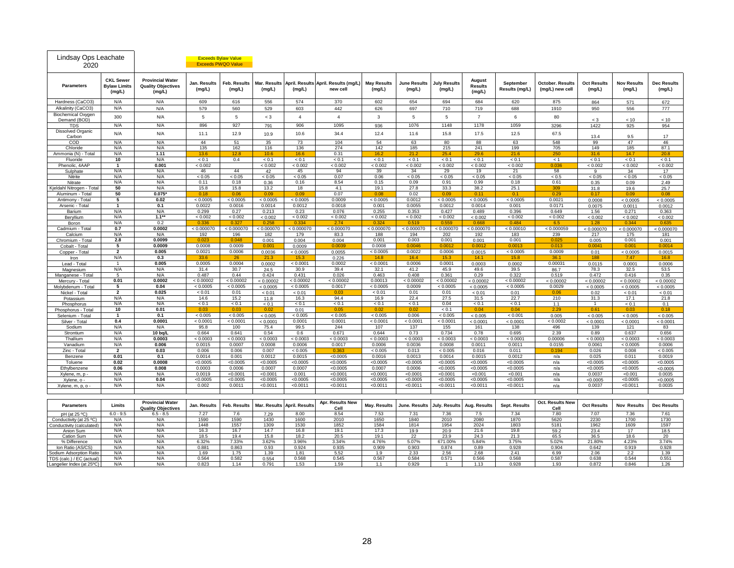| Lindsay Ops Leachate<br>2020          |                                                   |                                                                | <b>Exceeds Bylaw Value</b><br><b>Exceeds PWQO Value</b> |                        |                        |                             |                                                  |                              |                               |                               |                                    |                             |                                            |                              |                              |                              |
|---------------------------------------|---------------------------------------------------|----------------------------------------------------------------|---------------------------------------------------------|------------------------|------------------------|-----------------------------|--------------------------------------------------|------------------------------|-------------------------------|-------------------------------|------------------------------------|-----------------------------|--------------------------------------------|------------------------------|------------------------------|------------------------------|
| <b>Parameters</b>                     | <b>CKL Sewer</b><br><b>Bylaw Limits</b><br>(mg/L) | <b>Provincial Water</b><br><b>Quality Objectives</b><br>(mg/L) | Jan. Results<br>(mg/L)                                  | Feb. Results<br>(mg/L) | Mar. Results<br>(mg/L) | (mg/L)                      | April. Results April. Results (mg/L)<br>new cell | <b>May Results</b><br>(mg/L) | <b>June Results</b><br>(mg/L) | <b>July Results</b><br>(mg/L) | August<br><b>Results</b><br>(mg/L) | September<br>Results (mg/L) | <b>October. Results</b><br>(mg/L) new cell | <b>Oct Results</b><br>(mg/L) | <b>Nov Results</b><br>(mg/L) | <b>Dec Results</b><br>(mg/L) |
| Hardness (CaCO3)                      | N/A                                               | N/A                                                            | 609                                                     | 616                    | 556                    | 574                         | 370                                              | 602                          | 654                           | 694                           | 684                                | 620                         | 875                                        | 864                          | 571                          | 672                          |
| Alkalinity (CaCO3)                    | N/A                                               | N/A                                                            | 579                                                     | 560                    | 529                    | 603                         | 442                                              | 626                          | 697                           | 710                           | 719                                | 688                         | 1910                                       | 950                          | 556                          | 777                          |
| <b>Biochemical Oxygen</b>             | 300                                               | N/A                                                            | 5                                                       | 5                      | $\rm < 3$              | $\overline{4}$              | $\overline{4}$                                   | $\mathbf{3}$                 | 5                             | 5                             | $\overline{7}$                     | 6                           | 80                                         |                              |                              |                              |
| Demand (BOD)                          |                                                   |                                                                |                                                         |                        |                        |                             |                                                  |                              |                               |                               |                                    |                             |                                            | < 3                          | < 10                         | < 10                         |
| <b>TDS</b>                            | N/A                                               | N/A                                                            | 896                                                     | 927                    | 791                    | 906                         | 1095                                             | 936                          | 1076                          | 1148                          | 1178                               | 1059                        | 3296                                       | 1422                         | 925                          | 954                          |
| Dissolved Organic<br>Carbon           | N/A                                               | N/A                                                            | 11.1                                                    | 12.9                   | 10.9                   | 10.6                        | 34.4                                             | 12.4                         | 11.6                          | 15.8                          | 17.5                               | 12.5                        | 67.5                                       | 13.4                         | 9.5                          | 17                           |
| COD                                   | N/A                                               | N/A                                                            | 44                                                      | 51                     | 35                     | 73                          | 104                                              | 54                           | 63                            | 80                            | 88                                 | 63                          | 548                                        | 99                           | 47                           | 46                           |
| Chloride<br>Ammonia (N) - Total       | N/A<br>N/A                                        | N/A<br>1.11                                                    | 135<br>13.6                                             | 162<br>12.8            | 116<br>10.6            | 136<br>16.6                 | 274<br>0.31                                      | 142<br>16.2                  | 185<br>21.2                   | 215<br>25.4                   | 241<br>29.6                        | 199<br>21.6                 | 705<br>250                                 | 149<br>31.6                  | 185<br>14.7                  | 87.1<br>20.8                 |
| Fluoride                              | 10                                                | N/A                                                            | < 0.1                                                   | 0.4                    | < 0.1                  | < 0.1                       | < 0.1                                            | < 0.1                        | < 0.1                         | < 0.1                         | < 0.1                              | < 0.1                       | < 1                                        | < 0.1                        | < 0.1                        | < 0.1                        |
| Phenolic, 4AAP                        | $\mathbf{1}$                                      | 0.001                                                          | < 0.002                                                 |                        | < 0.002                | < 0.002                     | < 0.002                                          | < 0.002                      | < 0.002                       | < 0.002                       | < 0.002                            | < 0.002                     | 0.036                                      | < 0.002                      | < 0.002                      | < 0.002                      |
| Sulphate                              | N/A                                               | N/A                                                            | 46                                                      | 44                     | 42                     | 45                          | 94                                               | 39                           | 34                            | 29                            | 19                                 | 21                          | 58                                         | 9                            | 34                           | 17                           |
| Nitrite                               | N/A                                               | N/A                                                            | < 0.05                                                  | < 0.05                 | < 0.05                 | < 0.05                      | 0.07                                             | 0.06                         | < 0.05                        | < 0.05                        | < 0.05                             | < 0.05                      | < 0.5                                      | < 0.05                       | < 0.05                       | < 0.05                       |
| Nitrate                               | N/A                                               | N/A                                                            | 0.11                                                    | 0.18                   | 0.36                   | 0.16                        | 8.54                                             | 0.15                         | 0.09                          | 0.91                          | 0.99                               | 0.18                        | 0.61                                       | 0.35                         | 0.09                         | 2.49                         |
| Kjeldahl Nitrogen - Total             | 50                                                | N/A                                                            | 15.8                                                    | 15.8                   | 13.2                   | 18                          | 4.1                                              | 19.1                         | 27.8                          | 33.3                          | 38.2                               | 25.1                        | 309                                        | 31.8                         | 19.6                         | 25.7                         |
| Aluminum - Total                      | 50                                                | $0.075*$                                                       | 0.18                                                    | 0.06                   | 0.09                   | 0.09                        | 0.07                                             | 0.08                         | 0.02                          | 0.09                          | 0.11                               | 0.1                         | 0.29                                       | 0.17                         | 0.09                         | 0.08                         |
| Antimony - Total                      | 5                                                 | 0.02                                                           | < 0.0005                                                | < 0.0005               | < 0.0005               | < 0.0005                    | 0.0009                                           | < 0.0005                     | 0.0012                        | < 0.0005                      | < 0.0005                           | < 0.0005                    | 0.0021                                     | 0.0008                       | < 0.0005                     | < 0.0005                     |
| Arsenic - Total                       | -1                                                | 0.1                                                            | 0.0022                                                  | 0.0016                 | 0.0014                 | 0.0012                      | 0.0018                                           | 0.001                        | 0.0055                        | 0.0012                        | 0.0014                             | 0.001                       | 0.0171                                     | 0.0075                       | 0.0011                       | 0.0012                       |
| Barium                                | N/A<br>N/A                                        | N/A                                                            | 0.299                                                   | 0.27                   | 0.213                  | 0.23                        | 0.076                                            | 0.255<br>< 0.002             | 0.353                         | 0.427                         | 0.489                              | 0.396                       | 0.649                                      | 1.56                         | 0.271                        | 0.363                        |
| Beryllium                             | N/A                                               | $1.1**$<br>0.2                                                 | < 0.002<br>0.336                                        | < 0.002<br>0.327       | < 0.002<br>0.258       | < 0.002<br>0.334            | < 0.002<br>2.74                                  | 0.324                        | < 0.002<br>0.519              | < 0.002<br>0.559              | < 0.002<br>0.668                   | < 0.002<br>0.484            | < 0.002<br>6.5                             | < 0.002<br>1.28              | < 0.002<br>0.344             | < 0.002<br>0.635             |
| Boron<br>Cadmium - Total              | 0.7                                               | 0.0002                                                         | < 0.000070                                              | < 0.000070             | < 0.000070             | < 0.000070                  | < 0.000070                                       | < 0.000070                   | < 0.000070                    | < 0.000070                    | < 0.000070                         | < 0.00010                   | < 0.000059                                 | < 0.000070                   | < 0.000070                   | < 0.000070                   |
| Calcium                               | N/A                                               | N/A                                                            | 192                                                     | 196                    | 182                    | 179                         | 83.3                                             | 188                          | 194                           | 202                           | 192                                | 183                         | 239                                        | 217                          | 175                          | 181                          |
| Chromium - Total                      | 2.8                                               | 0.0099                                                         | 0.02                                                    | 0.048                  | 0.001                  | 0.004                       | 0.004                                            | 0.001                        | 0.003                         | 0.001                         | 0.001                              | 0.001                       | 0.025                                      | 0.005                        | 0.001                        | 0.001                        |
| Cobalt - Total                        | 5                                                 | 0.0009                                                         | 0.0008                                                  | 0.0009                 | 0.00 <sub>1</sub>      | 0.0009                      | 0.003                                            | 0.0008                       | 0.004                         |                               | 0.001                              | 0.001                       | 0.013                                      | 0.004                        | 0.00                         | 0.001                        |
| Copper - Total                        | $\overline{\mathbf{2}}$                           | 0.005                                                          | 0.0021                                                  | 0.0006                 | 0.0036                 | < 0.0005                    | 0.0055                                           | < 0.0005                     | 0.0022                        | 0.0006                        | 0.0015                             | < 0.0005                    | 0.0009                                     | 0.01                         | < 0.0005                     | 0.0015                       |
| Iron                                  | N/A                                               | 0.3                                                            | 33.6                                                    | 26                     | 21.3                   | 15.3                        | 0.226                                            | 14.8                         | 16.4                          | 15.3                          | 14.1                               | 15.8                        | 36.1                                       | 188                          | 7.47                         | 16.8                         |
| Lead - Total                          | $\overline{1}$                                    | 0.005                                                          | 0.0005                                                  | 0.0004                 | 0.0002                 | < 0.0001                    | 0.0002                                           | < 0.0001                     | 0.0006                        | 0.0001                        | 0.0003                             | 0.0002                      | 0.00031                                    | 0.0115                       | 0.0001                       | 0.0006                       |
| Magnesium                             | N/A                                               | N/A                                                            | 31.4                                                    | 30.7                   | 24.5                   | 30.9                        | 39.4                                             | 32.1                         | 41.2                          | 45.9                          | 49.6                               | 39.5                        | 86.7                                       | 78.3                         | 32.5                         | 53.5                         |
| Manganese - Total                     | 5<br>0.01                                         | N/A<br>0.0002                                                  | 0.487<br>< 0.00002                                      | 0.44<br>< 0.00002      | 0.424                  | 0.431<br>< 0.00002          | 0.026<br>< 0.00002                               | 0.463<br>0.00013             | 0.408<br>< 0.00002            | 0.361<br>< 0.00002            | 0.29                               | 0.322<br>< 0.00002          | 0.519                                      | 0.472                        | 0.416                        | 0.35                         |
| Mercury - Total<br>Molybdenum - Total | 5                                                 | 0.04                                                           | < 0.0005                                                | < 0.0005               | < 0.00002<br>< 0.0005  | < 0.0005                    | 0.0017                                           | < 0.0005                     | 0.0009                        | < 0.0005                      | < 0.00002<br>< 0.0005              | < 0.0005                    | < 0.00002<br>0.0029                        | < 0.00002<br>< 0.0005        | < 0.00002<br>< 0.0005        | < 0.00002<br>< 0.0005        |
| Nickel - Total                        | $\overline{2}$                                    | 0.025                                                          | < 0.01                                                  | 0.01                   | < 0.01                 | < 0.01                      | 0.03                                             | < 0.01                       | 0.01                          | 0.01                          | < 0.01                             | 0.01                        | 0.06                                       | 0.02                         | < 0.01                       | < 0.01                       |
| Potassium                             | N/A                                               | N/A                                                            | 14.6                                                    | 15.2                   | 11.8                   | 16.3                        | 94.4                                             | 16.9                         | 22.4                          | 27.5                          | 31.5                               | 22.7                        | 210                                        | 31.3                         | 17.1                         | 21.8                         |
| Phosphorus                            | N/A                                               | N/A                                                            | < 0.1                                                   | < 0.1                  | < 0.1                  | < 0.1                       | < 0.1                                            | < 0.1                        | < 0.1                         | 0.04                          | < 0.1                              | < 0.1                       | 1.1                                        | $\mathbf{1}$                 | < 0.1                        | 0.1                          |
| Phosphorus - Total                    | 10                                                | 0.01                                                           | 0.03                                                    | 0.03                   | 0.02                   | 0.01                        | 0.05                                             | 0.02                         | 0.02                          | < 0.1                         | 0.04                               | 0.04                        | 2.29                                       | 0.61                         | 0.03                         | 0.18                         |
| Selenium - Total                      | $\mathbf{1}$                                      | 0.1                                                            | < 0.005                                                 | < 0.005                | < 0.005                | < 0.005                     | < 0.005                                          | < 0.005                      | 0.006                         | < 0.005                       | < 0.005                            | < 0.001                     | 0.005                                      | < 0.005                      | < 0.005                      | < 0.005                      |
| Silver - Total                        | 0.4                                               | 0.0001                                                         | < 0.0001                                                | < 0.0001               | < 0.0001               | 0.0001                      | 0.0001                                           | < 0.0001                     | < 0.0001                      | < 0.0001                      | < 0.0001                           | < 0.0001                    | < 0.0002                                   | < 0.0001                     | < 0.0001                     | < 0.0001                     |
| Sodium<br>Strontium                   | N/A<br>N/A                                        | N/A<br>10 bq/L                                                 | 95.8<br>0.664                                           | 100<br>0.641           | 75.4<br>0.54           | 99.5<br>0.6                 | 244<br>0.671                                     | 107<br>0.644                 | 137<br>0.73                   | 155<br>0.734                  | 161<br>0.78                        | 138<br>0.695                | 496<br>2.39                                | 139                          | 121                          | 83                           |
| Thallium                              | N/A                                               | 0.0003                                                         | < 0.0003                                                | < 0.0003               | < 0.0003               | < 0.0003                    | < 0.0003                                         | < 0.0003                     | < 0.0003                      | < 0.0003                      | < 0.0003                           | < 0.000                     | 0.00006                                    | 0.89<br>< 0.0003             | 0.637<br>< 0.0003            | 0.656<br>< 0.0003            |
| Vanadium                              | N/A                                               | 0.006                                                          | 0.0015                                                  | 0.0007                 | 0.0008                 | 0.0006                      | 0.0017                                           | 0.0006                       | 0.0036                        | 0.0008                        | 0.0011                             | 0.0011                      | 0.0155                                     | 0.0061                       | < 0.0005                     | 0.0006                       |
| Zinc - Total                          | $\overline{2}$                                    | 0.03                                                           | 0.006                                                   | 0.006                  | 0.007                  | < 0.005                     | 0.363                                            | < 0.005                      | 0.013                         | < 0.005                       | 0.016                              | 0.011                       | 0.194                                      | 0.026                        | 0.008                        | < 0.005                      |
| Benzene                               | 0.01                                              | 0.1                                                            | 0.0014                                                  | 0.001                  | 0.0012                 | 0.0015                      | < 0.0005                                         | 0.0016                       | 0.0013                        | 0.0014                        | 0.0015                             | 0.0012                      | n/a                                        | 0.025                        | 0.011                        | 0.0019                       |
| Toluene                               | 0.02                                              | 0.0008                                                         | < 0.0005                                                | < 0.0005               | < 0.0005               | < 0.0005                    | < 0.0005                                         | < 0.0005                     | < 0.0005                      | < 0.0005                      | < 0.0005                           | < 0.0005                    | n/a                                        | < 0.0005                     | < 0.0005                     | < 0.0005                     |
| Ethylbenzene                          | 0.06                                              | 0.008                                                          | 0.0003                                                  | 0.0006                 | 0.0007                 | 0.0007                      | < 0.0005                                         | 0.0007                       | 0.0006                        | < 0.0005                      | < 0.0005                           | < 0.0005                    | n/a                                        | < 0.0005                     | < 0.0005                     | < 0.0005                     |
| Xylene, m, p                          | N/A                                               | N/A                                                            | 0.0019                                                  | < 0.0001               | < 0.0001               | 0.001                       | < 0.0001                                         | < 0.0001                     | < 0.0001                      | < 0.0001                      | < 0.001                            | < 0.001                     | n/a                                        | 0.0037                       | < 0.001                      | 0.0035                       |
| Xylene, o -                           | N/A                                               | 0.04                                                           | < 0.0005                                                | < 0.0005               | < 0.0005               | < 0.0005                    | < 0.0005                                         | < 0.0005                     | < 0.0005                      | < 0.0005                      | < 0.0005                           | < 0.0005                    | n/a                                        | < 0.0005                     | < 0.0005                     | < 0.0005                     |
| Xylene, m, p, o -                     | N/A                                               | N/A                                                            | 0.002                                                   | 0.0011                 | < 0.0011               | < 0.0011                    | < 0.0011                                         | < 0.0011                     | < 0.0011                      | < 0.0011                      | < 0.0011                           | < 0.0011                    | n/a                                        | 0.0037                       | < 0.0011                     | 0.0035                       |
| <b>Parameters</b>                     | Limits                                            | <b>Provincial Water</b><br><b>Quality Objectives</b>           | Jan. Results                                            | Feb. Results           |                        | Mar. Results April. Results | Apr. Results New<br>Cell                         | May. Results                 | June. Results                 | July. Results                 | Aug. Results                       | Sept. Results               | Oct. Results New<br>Cell                   | <b>Oct Results</b>           | <b>Nov Results</b>           | <b>Dec Results</b>           |
| pH (at 25 °C)                         | $6.0 - 9.5$                                       | $6.5 - 8.5$                                                    | 7.27                                                    | 7.6                    | 7.29                   | 8.00                        | 8.54                                             | 7.53                         | 7.31                          | 7.36                          | 7.5                                | 7.34                        | 7.80                                       | 7.07                         | 7.36                         | 7.61                         |
| Conductivity (at 25 °C)               | N/A                                               | N/A                                                            | 1590                                                    | 1590                   | 1430                   | 1600                        | 2010                                             | 1650                         | 1840                          | 2010                          | 2080                               | 1870                        | 5620                                       | 2230                         | 1700                         | 1730                         |
| Conductivity (calculated)             | N/A<br>N/A                                        | N/A<br>N/A                                                     | 1448                                                    | 1557                   | 1309<br>14.7           | 1530                        | 1852<br>19.1                                     | 1584<br>17.3                 | 1814<br>19.9                  | 1954<br>20.9                  | 2024<br>21.6                       | 1803                        | 5181                                       | 1962<br>23.4                 | 1609<br>17                   | 1597<br>18.5                 |
| Anion Sum<br>Cation Sum               | N/A                                               | N/A                                                            | 16.3<br>18.5                                            | 16.7<br>19.4           | 15.8                   | 16.8<br>18.2                | 20.5                                             | 19.1                         | 22                            | 23.9                          | 24.3                               | 19.8<br>21.3                | 59.2<br>65.5                               | 36.5                         | 18.6                         | 20                           |
| % Difference                          | N/A                                               | N/A                                                            | 6.32%                                                   | 7.33%                  | 3.62%                  | 3.96%                       | 3.34%                                            | 4.76%                        | 5.07%                         | 671.00%                       | 5.84%                              | 3.75%                       | 5.02%                                      | 21.80%                       | 4.23%                        | 3.74%                        |
| Ion Ratio (AS/CS)                     | N/A                                               | N/A                                                            | 0.881                                                   | 0.863                  | 0.93                   | 0.924                       | 0.935                                            | 0.909                        | 0.903                         | 0.874                         | 0.89                               | 0.928                       | 0.904                                      | 0.642                        | 0.919                        | 0.928                        |
| Sodium Adsorption Ratio               | N/A                                               | N/A                                                            | 1.69                                                    | 1.75                   | 1.39                   | 1.81                        | 5.52                                             | 1.9                          | 2.33                          | 2.56                          | 2.68                               | 2.41                        | 6.99                                       | 2.06                         | 2.2                          | 1.39                         |
| TDS (calc.) / EC (actual)             | N/A                                               | N/A                                                            | 0.564                                                   | 0.582                  | 0.554                  | 0.568                       | 0.545                                            | 0.567                        | 0.584                         | 0.571                         | 0.566                              | 0.568                       | 0.587                                      | 0.638                        | 0.544                        | 0.551                        |
| Langelier Index (at 25°C)             | N/A                                               | N/A                                                            | 0.823                                                   | 1.14                   | 0.791                  | 1.53                        | 1.59                                             | 1.1                          | 0.929                         | $\mathbf{1}$                  | 1.13                               | 0.928                       | 1.93                                       | 0.872                        | 0.846                        | 1.26                         |